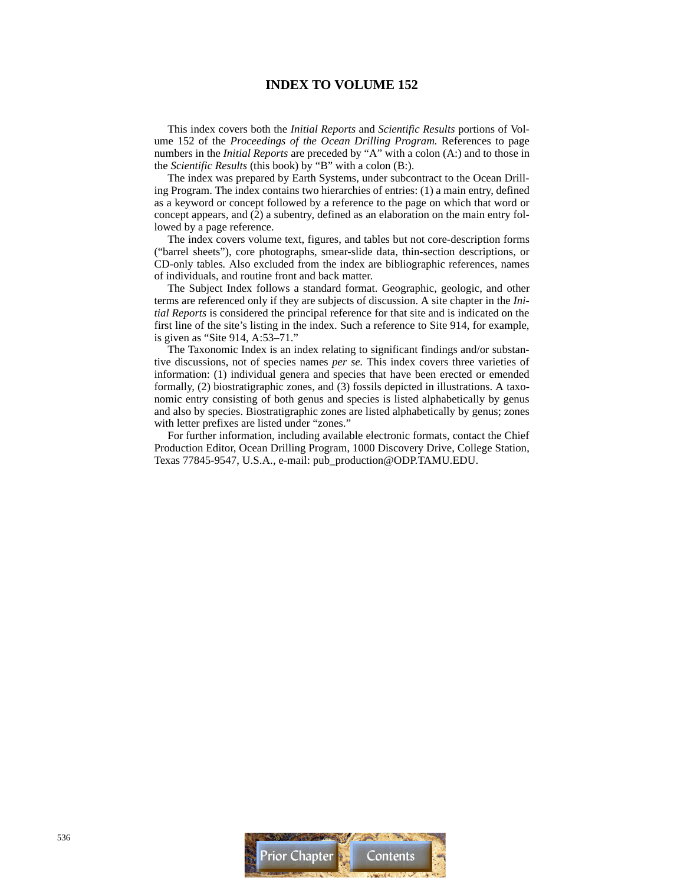# **INDEX TO VOLUME 152**

This index covers both the *Initial Reports* and *Scientific Results* portions of Volume 152 of the *Proceedings of the Ocean Drilling Program.* References to page numbers in the *Initial Reports* are preceded by "A" with a colon (A:) and to those in the *Scientific Results* (this book) by "B" with a colon (B:).

The index was prepared by Earth Systems, under subcontract to the Ocean Drilling Program. The index contains two hierarchies of entries: (1) a main entry, defined as a keyword or concept followed by a reference to the page on which that word or concept appears, and (2) a subentry, defined as an elaboration on the main entry followed by a page reference.

The index covers volume text, figures, and tables but not core-description forms ("barrel sheets"), core photographs, smear-slide data, thin-section descriptions, or CD-only tables*.* Also excluded from the index are bibliographic references, names of individuals, and routine front and back matter.

The Subject Index follows a standard format. Geographic, geologic, and other terms are referenced only if they are subjects of discussion. A site chapter in the *Initial Reports* is considered the principal reference for that site and is indicated on the first line of the site's listing in the index. Such a reference to Site 914, for example, is given as "Site 914, A:53–71."

The Taxonomic Index is an index relating to significant findings and/or substantive discussions, not of species names *per se.* This index covers three varieties of information: (1) individual genera and species that have been erected or emended formally, (2) biostratigraphic zones, and (3) fossils depicted in illustrations. A taxonomic entry consisting of both genus and species is listed alphabetically by genus and also by species. Biostratigraphic zones are listed alphabetically by genus; zones with letter prefixes are listed under "zones."

For further information, including available electronic formats, contact the Chief Production Editor, Ocean Drilling Program, 1000 Discovery Drive, College Station, Texas 77845-9547, U.S.A., e-mail: pub\_production@ODP.TAMU.EDU.

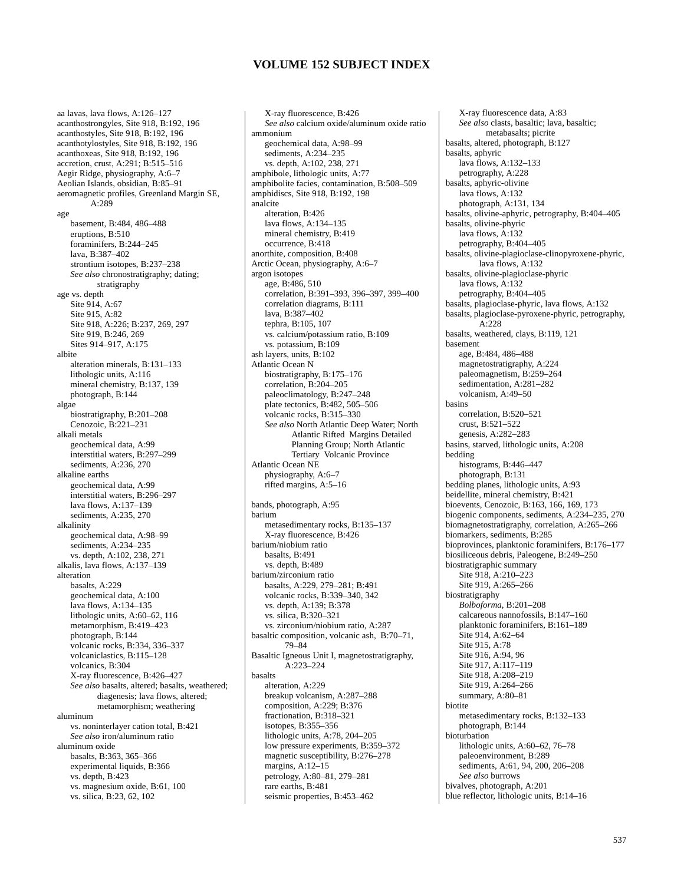aa lavas, lava flows, A:126–127 acanthostrongyles, Site 918, B:192, 196 acanthostyles, Site 918, B:192, 196 acanthotylostyles, Site 918, B:192, 196 acanthoxeas, Site 918, B:192, 196 accretion, crust, A:291; B:515–516 Aegir Ridge, physiography, A:6–7 Aeolian Islands, obsidian, B:85–91 aeromagnetic profiles, Greenland Margin SE,  $A.289$ age basement, B:484, 486–488 eruptions, B:510 foraminifers, B:244–245 lava, B:387–402 strontium isotopes, B:237–238 *See also* chronostratigraphy; dating; stratigraphy age vs. depth Site 914, A:67 Site 915, A:82 Site 918, A:226; B:237, 269, 297 Site 919, B:246, 269 Sites 914–917, A:175 albite alteration minerals, B:131–133 lithologic units, A:116 mineral chemistry, B:137, 139 photograph, B:144 algae biostratigraphy, B:201–208 Cenozoic, B:221–231 alkali metals geochemical data, A:99 interstitial waters, B:297–299 sediments, A:236, 270 alkaline earths geochemical data, A:99 interstitial waters, B:296–297 lava flows, A:137–139 sediments, A:235, 270 alkalinity geochemical data, A:98–99 sediments, A:234–235 vs. depth, A:102, 238, 271 alkalis, lava flows, A:137–139 alteration basalts, A:229 geochemical data, A:100 lava flows, A:134–135 lithologic units, A:60–62, 116 metamorphism, B:419–423 photograph, B:144 volcanic rocks, B:334, 336–337 volcaniclastics, B:115–128 volcanics, B:304 X-ray fluorescence, B:426–427 *See also* basalts, altered; basalts, weathered; diagenesis; lava flows, altered; metamorphism; weathering aluminum vs. noninterlayer cation total, B:421 *See also* iron/aluminum ratio aluminum oxide basalts, B:363, 365–366 experimental liquids, B:366 vs. depth, B:423 vs. magnesium oxide, B:61, 100 vs. silica, B:23, 62, 102

X-ray fluorescence, B:426 *See also* calcium oxide/aluminum oxide ratio ammonium geochemical data, A:98–99 sediments, A:234–235 vs. depth, A:102, 238, 271 amphibole, lithologic units, A:77 amphibolite facies, contamination, B:508–509 amphidiscs, Site 918, B:192, 198 analcite alteration, B:426 lava flows, A:134–135 mineral chemistry, B:419 occurrence, B:418 anorthite, composition, B:408 Arctic Ocean, physiography, A:6–7 argon isotopes age, B:486, 510 correlation, B:391–393, 396–397, 399–400 correlation diagrams, B:111 lava, B:387–402 tephra, B:105, 107 vs. calcium/potassium ratio, B:109 vs. potassium, B:109 ash layers, units, B:102 Atlantic Ocean N biostratigraphy, B:175–176 correlation, B:204–205 paleoclimatology, B:247–248 plate tectonics, B:482, 505–506 volcanic rocks, B:315–330 *See also* North Atlantic Deep Water; North Atlantic Rifted Margins Detailed Planning Group; North Atlantic Tertiary Volcanic Province Atlantic Ocean NE physiography, A:6–7 rifted margins, A:5–16 bands, photograph, A:95 barium metasedimentary rocks, B:135–137 X-ray fluorescence, B:426 barium/niobium ratio basalts, B:491 vs. depth, B:489 barium/zirconium ratio basalts, A:229, 279–281; B:491 volcanic rocks, B:339–340, 342 vs. depth, A:139; B:378 vs. silica, B:320–321 vs. zirconium/niobium ratio, A:287 basaltic composition, volcanic ash, B:70–71, 79–84 Basaltic Igneous Unit I, magnetostratigraphy, A:223–224 basalts alteration, A:229 breakup volcanism, A:287–288 composition, A:229; B:376 fractionation, B:318–321 isotopes, B:355–356 lithologic units, A:78, 204–205 low pressure experiments, B:359–372 magnetic susceptibility, B:276–278 margins, A:12–15 petrology, A:80–81, 279–281 rare earths, B:481 seismic properties, B:453–462

X-ray fluorescence data, A:83 *See also* clasts, basaltic; lava, basaltic; metabasalts; picrite basalts, altered, photograph, B:127 basalts, aphyric lava flows, A:132–133 petrography, A:228 basalts, aphyric-olivine lava flows, A:132 photograph, A:131, 134 basalts, olivine-aphyric, petrography, B:404–405 basalts, olivine-phyric lava flows, A:132 petrography, B:404–405 basalts, olivine-plagioclase-clinopyroxene-phyric, lava flows, A:132 basalts, olivine-plagioclase-phyric lava flows, A:132 petrography, B:404–405 basalts, plagioclase-phyric, lava flows, A:132 basalts, plagioclase-pyroxene-phyric, petrography,  $A.228$ basalts, weathered, clays, B:119, 121 basement age, B:484, 486–488 magnetostratigraphy, A:224 paleomagnetism, B:259–264 sedimentation, A:281–282 volcanism, A:49–50 basins correlation, B:520–521 crust, B:521–522 genesis, A:282–283 basins, starved, lithologic units, A:208 bedding histograms, B:446–447 photograph, B:131 bedding planes, lithologic units, A:93 beidellite, mineral chemistry, B:421 bioevents, Cenozoic, B:163, 166, 169, 173 biogenic components, sediments, A:234–235, 270 biomagnetostratigraphy, correlation, A:265–266 biomarkers, sediments, B:285 bioprovinces, planktonic foraminifers, B:176–177 biosiliceous debris, Paleogene, B:249–250 biostratigraphic summary Site 918, A:210-223 Site 919, A:265–266 biostratigraphy *Bolboforma*, B:201–208 calcareous nannofossils, B:147–160 planktonic foraminifers, B:161–189 Site 914, A:62-64 Site 915, A:78 Site 916, A:94, 96 Site 917, A:117–119 Site 918, A:208-219 Site 919, A:264–266 summary, A:80–81 biotite metasedimentary rocks, B:132–133 photograph, B:144 bioturbation lithologic units, A:60–62, 76–78 paleoenvironment, B:289 sediments, A:61, 94, 200, 206–208 *See also* burrows bivalves, photograph, A:201 blue reflector, lithologic units, B:14–16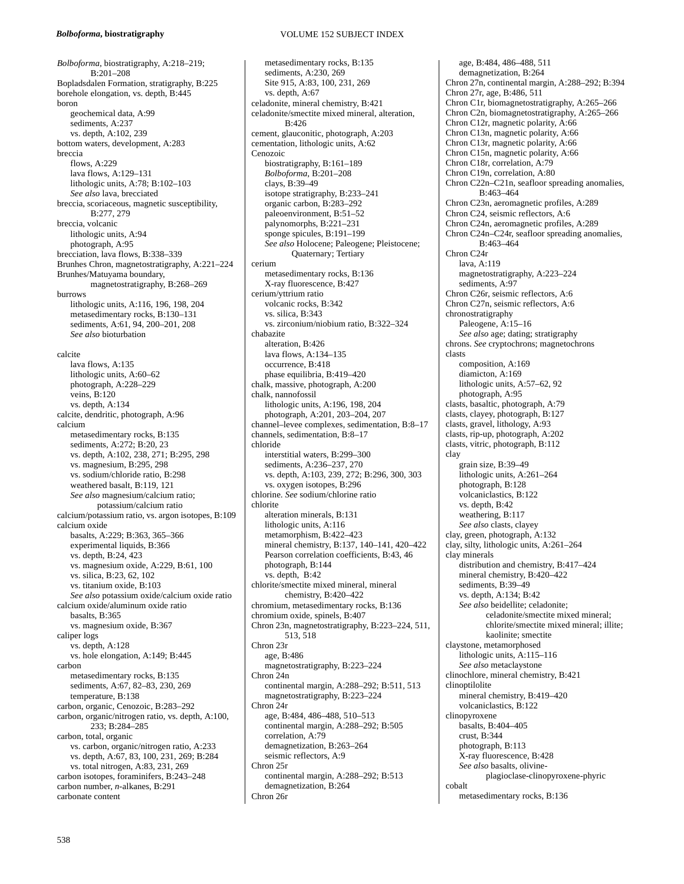#### *Bolboforma***, biostratigraphy**

*Bolboforma*, biostratigraphy, A:218–219; B:201–208 Bopladsdalen Formation, stratigraphy, B:225 borehole elongation, vs. depth, B:445 boron geochemical data, A:99 sediments, A:237 vs. depth, A:102, 239 bottom waters, development, A:283 breccia flows, A:229 lava flows, A:129–131 lithologic units, A:78; B:102–103 *See also* lava, brecciated breccia, scoriaceous, magnetic susceptibility, B:277, 279 breccia, volcanic lithologic units, A:94 photograph, A:95 brecciation, lava flows, B:338–339 Brunhes Chron, magnetostratigraphy, A:221–224 Brunhes/Matuyama boundary, magnetostratigraphy, B:268–269 burrows lithologic units, A:116, 196, 198, 204 metasedimentary rocks, B:130–131 sediments, A:61, 94, 200–201, 208 *See also* bioturbation calcite lava flows, A:135 lithologic units, A:60–62 photograph, A:228–229 veins, B:120 vs. depth, A:134 calcite, dendritic, photograph, A:96 calcium metasedimentary rocks, B:135 sediments, A:272; B:20, 23 vs. depth, A:102, 238, 271; B:295, 298 vs. magnesium, B:295, 298 vs. sodium/chloride ratio, B:298 weathered basalt, B:119, 121 *See also* magnesium/calcium ratio; potassium/calcium ratio calcium/potassium ratio, vs. argon isotopes, B:109 calcium oxide basalts, A:229; B:363, 365–366 experimental liquids, B:366 vs. depth, B:24, 423 vs. magnesium oxide, A:229, B:61, 100 vs. silica, B:23, 62, 102 vs. titanium oxide, B:103 *See also* potassium oxide/calcium oxide ratio calcium oxide/aluminum oxide ratio basalts, B:365 vs. magnesium oxide, B:367 caliper logs vs. depth, A:128 vs. hole elongation, A:149; B:445 carbon metasedimentary rocks, B:135 sediments, A:67, 82–83, 230, 269 temperature, B:138 carbon, organic, Cenozoic, B:283–292 carbon, organic/nitrogen ratio, vs. depth, A:100, 233; B:284–285 carbon, total, organic vs. carbon, organic/nitrogen ratio, A:233 vs. depth, A:67, 83, 100, 231, 269; B:284 vs. total nitrogen, A:83, 231, 269 carbon isotopes, foraminifers, B:243–248 carbon number, *n-*alkanes, B:291 carbonate content

## VOLUME 152 SUBJECT INDEX

metasedimentary rocks, B:135 sediments, A:230, 269 Site 915, A:83, 100, 231, 269 vs. depth, A:67 celadonite, mineral chemistry, B:421 celadonite/smectite mixed mineral, alteration, B:426 cement, glauconitic, photograph, A:203 cementation, lithologic units, A:62 Cenozoic biostratigraphy, B:161–189 *Bolboforma*, B:201–208 clays, B:39–49 isotope stratigraphy, B:233–241 organic carbon, B:283–292 paleoenvironment, B:51–52 palynomorphs, B:221–231 sponge spicules, B:191–199 *See also* Holocene; Paleogene; Pleistocene; Quaternary; Tertiary cerium metasedimentary rocks, B:136 X-ray fluorescence, B:427 cerium/yttrium ratio volcanic rocks, B:342 vs. silica, B:343 vs. zirconium/niobium ratio, B:322–324 chabazite alteration, B:426 lava flows, A:134–135 occurrence, B:418 phase equilibria, B:419–420 chalk, massive, photograph, A:200 chalk, nannofossil lithologic units, A:196, 198, 204 photograph, A:201, 203–204, 207 channel–levee complexes, sedimentation, B:8–17 channels, sedimentation, B:8–17 chloride interstitial waters, B:299–300 sediments, A:236–237, 270 vs. depth, A:103, 239, 272; B:296, 300, 303 vs. oxygen isotopes, B:296 chlorine. *See* sodium/chlorine ratio chlorite alteration minerals, B:131 lithologic units, A:116 metamorphism, B:422–423 mineral chemistry, B:137, 140–141, 420–422 Pearson correlation coefficients, B:43, 46 photograph, B:144 vs. depth, B:42 chlorite/smectite mixed mineral, mineral chemistry, B:420–422 chromium, metasedimentary rocks, B:136 chromium oxide, spinels, B:407 Chron 23n, magnetostratigraphy, B:223–224, 511, 513, 518 Chron 23r age, B:486 magnetostratigraphy, B:223–224 Chron 24n continental margin, A:288–292; B:511, 513 magnetostratigraphy, B:223–224 Chron 24r age, B:484, 486–488, 510–513 continental margin, A:288–292; B:505 correlation, A:79 demagnetization, B:263–264 seismic reflectors, A:9 Chron 25r continental margin, A:288–292; B:513 demagnetization, B:264 Chron 26r

age, B:484, 486–488, 511 demagnetization, B:264 Chron 27n, continental margin, A:288–292; B:394 Chron 27r, age, B:486, 511 Chron C1r, biomagnetostratigraphy, A:265–266 Chron C2n, biomagnetostratigraphy, A:265–266 Chron C12r, magnetic polarity, A:66 Chron C13n, magnetic polarity, A:66 Chron C13r, magnetic polarity, A:66 Chron C15n, magnetic polarity, A:66 Chron C18r, correlation, A:79 Chron C19n, correlation, A:80 Chron C22n–C21n, seafloor spreading anomalies, B:463–464 Chron C23n, aeromagnetic profiles, A:289 Chron C24, seismic reflectors, A:6 Chron C24n, aeromagnetic profiles, A:289 Chron C24n–C24r, seafloor spreading anomalies, B:463–464 Chron C24r lava, A:119 magnetostratigraphy, A:223–224 sediments, A:97 Chron C26r, seismic reflectors, A:6 Chron C27n, seismic reflectors, A:6 chronostratigraphy Paleogene, A:15-16 *See also* age; dating; stratigraphy chrons. *See* cryptochrons; magnetochrons clasts composition, A:169 diamicton, A:169 lithologic units, A:57–62, 92 photograph, A:95 clasts, basaltic, photograph, A:79 clasts, clayey, photograph, B:127 clasts, gravel, lithology, A:93 clasts, rip-up, photograph, A:202 clasts, vitric, photograph, B:112 clay grain size, B:39–49 lithologic units, A:261–264 photograph, B:128 volcaniclastics, B:122 vs. depth, B:42 weathering, B:117 *See also* clasts, clayey clay, green, photograph, A:132 clay, silty, lithologic units, A:261–264 clay minerals distribution and chemistry, B:417–424 mineral chemistry, B:420–422 sediments, B:39–49 vs. depth, A:134; B:42 *See also* beidellite; celadonite; celadonite/smectite mixed mineral; chlorite/smectite mixed mineral; illite; kaolinite; smectite claystone, metamorphosed lithologic units, A:115–116 *See also* metaclaystone clinochlore, mineral chemistry, B:421 clinoptilolite mineral chemistry, B:419–420 volcaniclastics, B:122 clinopyroxene basalts, B:404–405 crust, B:344 photograph, B:113 X-ray fluorescence, B:428 *See also* basalts, olivineplagioclase-clinopyroxene-phyric cobalt metasedimentary rocks, B:136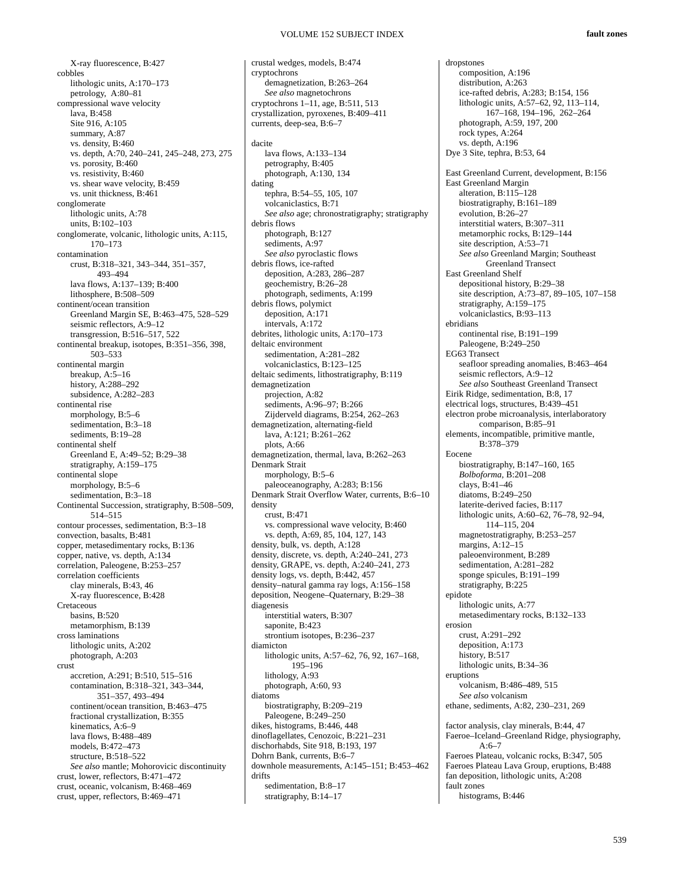crustal wedges, models, B:474

cryptochrons

X-ray fluorescence, B:427 cobbles lithologic units, A:170–173 petrology, A:80–81 compressional wave velocity lava, B:458 Site 916, A:105 summary, A:87 vs. density, B:460 vs. depth, A:70, 240–241, 245–248, 273, 275 vs. porosity, B:460 vs. resistivity, B:460 vs. shear wave velocity, B:459 vs. unit thickness, B:461 conglomerate lithologic units, A:78 units, B:102–103 conglomerate, volcanic, lithologic units, A:115, 170–173 contamination crust, B:318–321, 343–344, 351–357, 493–494 lava flows, A:137–139; B:400 lithosphere, B:508–509 continent/ocean transition Greenland Margin SE, B:463–475, 528–529 seismic reflectors, A:9–12 transgression, B:516–517, 522 continental breakup, isotopes, B:351–356, 398, 503–533 continental margin breakup, A:5–16 history, A:288–292 subsidence, A:282–283 continental rise morphology, B:5–6 sedimentation, B:3-18 sediments, B:19–28 continental shelf Greenland E, A:49–52; B:29–38 stratigraphy, A:159–175 continental slope morphology, B:5–6 sedimentation, B:3–18 Continental Succession, stratigraphy, B:508–509, 514–515 contour processes, sedimentation, B:3–18 convection, basalts, B:481 copper, metasedimentary rocks, B:136 copper, native, vs. depth, A:134 correlation, Paleogene, B:253–257 correlation coefficients clay minerals, B:43, 46 X-ray fluorescence, B:428 **Cretaceous** basins, B:520 metamorphism, B:139 cross laminations lithologic units, A:202 photograph, A:203 crust accretion, A:291; B:510, 515–516 contamination, B:318–321, 343–344, 351–357, 493–494 continent/ocean transition, B:463–475 fractional crystallization, B:355 kinematics, A:6–9 lava flows, B:488–489 models, B:472–473 structure, B:518–522 *See also* mantle; Mohorovicic discontinuity crust, lower, reflectors, B:471–472 crust, oceanic, volcanism, B:468–469 crust, upper, reflectors, B:469–471

demagnetization, B:263–264 *See also* magnetochrons cryptochrons 1–11, age, B:511, 513 crystallization, pyroxenes, B:409–411 currents, deep-sea, B:6–7 dacite lava flows, A:133–134 petrography, B:405 photograph, A:130, 134 dating tephra, B:54–55, 105, 107 volcaniclastics, B:71 *See also* age; chronostratigraphy; stratigraphy debris flows photograph, B:127 sediments, A:97 *See also* pyroclastic flows debris flows, ice-rafted deposition, A:283, 286–287 geochemistry, B:26–28 photograph, sediments, A:199 debris flows, polymict deposition, A:171 intervals, A:172 debrites, lithologic units, A:170–173 deltaic environment sedimentation, A:281–282 volcaniclastics, B:123–125 deltaic sediments, lithostratigraphy, B:119 demagnetization projection, A:82 sediments, A:96–97; B:266 Zijderveld diagrams, B:254, 262–263 demagnetization, alternating-field lava, A:121; B:261–262 plots, A:66 demagnetization, thermal, lava, B:262–263 Denmark Strait morphology, B:5–6 paleoceanography, A:283; B:156 Denmark Strait Overflow Water, currents, B:6–10 density crust, B:471 vs. compressional wave velocity, B:460 vs. depth, A:69, 85, 104, 127, 143 density, bulk, vs. depth, A:128 density, discrete, vs. depth, A:240–241, 273 density, GRAPE, vs. depth, A:240–241, 273 density logs, vs. depth, B:442, 457 density–natural gamma ray logs, A:156–158 deposition, Neogene–Quaternary, B:29–38 diagenesis interstitial waters, B:307 saponite, B:423 strontium isotopes, B:236–237 diamicton lithologic units, A:57–62, 76, 92, 167–168, 195–196 lithology, A:93 photograph, A:60, 93 diatoms biostratigraphy, B:209–219 Paleogene, B:249–250 dikes, histograms, B:446, 448 dinoflagellates, Cenozoic, B:221–231 dischorhabds, Site 918, B:193, 197 Dohrn Bank, currents, B:6–7 downhole measurements, A:145–151; B:453–462 drifts sedimentation, B:8–17 stratigraphy, B:14–17

dropstones composition, A:196 distribution, A:263 ice-rafted debris, A:283; B:154, 156 lithologic units, A:57–62, 92, 113–114, 167–168, 194–196, 262–264 photograph, A:59, 197, 200 rock types, A:264 vs. depth, A:196 Dye 3 Site, tephra, B:53, 64 East Greenland Current, development, B:156 East Greenland Margin alteration, B:115–128 biostratigraphy, B:161–189 evolution, B:26–27 interstitial waters, B:307–311 metamorphic rocks, B:129–144 site description, A:53–71 *See also* Greenland Margin; Southeast Greenland Transect East Greenland Shelf depositional history, B:29–38 site description, A:73–87, 89–105, 107–158 stratigraphy, A:159–175 volcaniclastics, B:93–113 ebridians continental rise, B:191–199 Paleogene, B:249–250 EG63 Transect seafloor spreading anomalies, B:463–464 seismic reflectors, A:9–12 *See also* Southeast Greenland Transect Eirik Ridge, sedimentation, B:8, 17 electrical logs, structures, B:439–451 electron probe microanalysis, interlaboratory comparison, B:85–91 elements, incompatible, primitive mantle, B:378–379 Eocene biostratigraphy, B:147–160, 165 *Bolboforma,* B:201–208 clays, B:41–46 diatoms, B:249–250 laterite-derived facies, B:117 lithologic units, A:60–62, 76–78, 92–94, 114–115, 204 magnetostratigraphy, B:253–257 margins,  $A:12-15$ paleoenvironment, B:289 sedimentation, A:281–282 sponge spicules, B:191–199 stratigraphy, B:225 epidote lithologic units, A:77 metasedimentary rocks, B:132–133 erosion crust, A:291–292 deposition, A:173 history, B:517 lithologic units, B:34–36 eruptions volcanism, B:486–489, 515 *See also* volcanism ethane, sediments, A:82, 230–231, 269 factor analysis, clay minerals, B:44, 47 Faeroe–Iceland–Greenland Ridge, physiography,  $A:6-7$ Faeroes Plateau, volcanic rocks, B:347, 505 Faeroes Plateau Lava Group, eruptions, B:488 fan deposition, lithologic units, A:208 fault zones histograms, B:446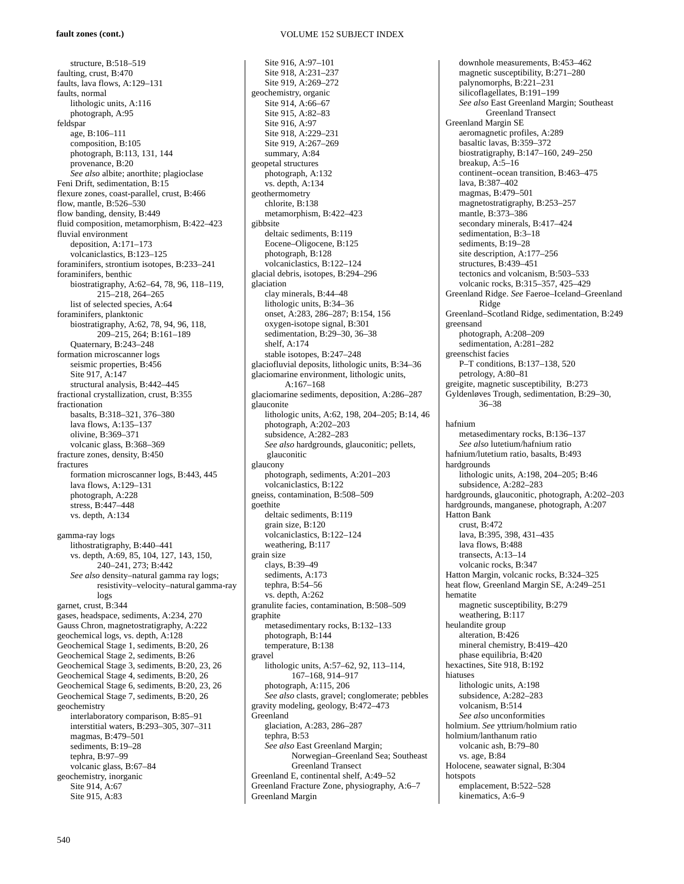structure, B:518–519 faulting, crust, B:470 faults, lava flows, A:129–131 faults, normal lithologic units, A:116 photograph, A:95 feldspar age, B:106–111 composition, B:105 photograph, B:113, 131, 144 provenance, B:20 *See also* albite; anorthite; plagioclase Feni Drift, sedimentation, B:15 flexure zones, coast-parallel, crust, B:466 flow, mantle, B:526–530 flow banding, density, B:449 fluid composition, metamorphism, B:422–423 fluvial environment deposition, A:171–173 volcaniclastics, B:123–125 foraminifers, strontium isotopes, B:233–241 foraminifers, benthic biostratigraphy, A:62–64, 78, 96, 118–119, 215–218, 264–265 list of selected species, A:64 foraminifers, planktonic biostratigraphy, A:62, 78, 94, 96, 118, 209–215, 264; B:161–189 Quaternary, B:243–248 formation microscanner logs seismic properties, B:456 Site 917, A:147 structural analysis, B:442–445 fractional crystallization, crust, B:355 fractionation basalts, B:318–321, 376–380 lava flows, A:135–137 olivine, B:369–371 volcanic glass, B:368–369 fracture zones, density, B:450 fractures formation microscanner logs, B:443, 445 lava flows, A:129–131 photograph, A:228 stress, B:447–448 vs. depth, A:134 gamma-ray logs lithostratigraphy, B:440–441 vs. depth, A:69, 85, 104, 127, 143, 150, 240–241, 273; B:442 *See also* density–natural gamma ray logs; resistivity–velocity–natural gamma-ray logs garnet, crust, B:344 gases, headspace, sediments, A:234, 270 Gauss Chron, magnetostratigraphy, A:222 geochemical logs, vs. depth, A:128 Geochemical Stage 1, sediments, B:20, 26 Geochemical Stage 2, sediments, B:26 Geochemical Stage 3, sediments, B:20, 23, 26 Geochemical Stage 4, sediments, B:20, 26 Geochemical Stage 6, sediments, B:20, 23, 26 Geochemical Stage 7, sediments, B:20, 26 geochemistry interlaboratory comparison, B:85–91 interstitial waters, B:293–305, 307–311 magmas, B:479–501 sediments, B:19–28 tephra, B:97–99 volcanic glass, B:67–84 geochemistry, inorganic Site 914, A:67 Site 915, A:83

Site 916, A:97–101 Site 918, A:231–237 Site 919, A:269–272 geochemistry, organic Site 914, A:66–67 Site 915, A:82–83 Site 916, A:97 Site 918, A:229–231 Site 919, A:267–269 summary, A:84 geopetal structures photograph, A:132 vs. depth, A:134 geothermometry chlorite, B:138 metamorphism, B:422–423 gibbsite deltaic sediments, B:119 Eocene–Oligocene, B:125 photograph, B:128 volcaniclastics, B:122–124 glacial debris, isotopes, B:294–296 glaciation clay minerals, B:44–48 lithologic units, B:34–36 onset, A:283, 286–287; B:154, 156 oxygen-isotope signal, B:301 sedimentation, B:29–30, 36–38 shelf, A:174 stable isotopes, B:247–248 glaciofluvial deposits, lithologic units, B:34–36 glaciomarine environment, lithologic units, A:167–168 glaciomarine sediments, deposition, A:286–287 glauconite lithologic units, A:62, 198, 204–205; B:14, 46 photograph, A:202–203 subsidence, A:282–283 *See also* hardgrounds, glauconitic; pellets, glauconitic glaucony photograph, sediments, A:201–203 volcaniclastics, B:122 gneiss, contamination, B:508–509 goethite deltaic sediments, B:119 grain size, B:120 volcaniclastics, B:122–124 weathering, B:117 grain size clays, B:39–49 sediments, A:173 tephra, B:54–56 vs. depth, A:262 granulite facies, contamination, B:508–509 graphite metasedimentary rocks, B:132–133 photograph, B:144 temperature, B:138 gravel lithologic units, A:57–62, 92, 113–114, 167–168, 914–917 photograph, A:115, 206 *See also* clasts, gravel; conglomerate; pebbles gravity modeling, geology, B:472–473 Greenland glaciation, A:283, 286–287 tephra, B:53 *See also* East Greenland Margin; Norwegian–Greenland Sea; Southeast Greenland Transect Greenland E, continental shelf, A:49–52 Greenland Fracture Zone, physiography, A:6–7 Greenland Margin

downhole measurements, B:453–462 magnetic susceptibility, B:271–280 palynomorphs, B:221–231 silicoflagellates, B:191–199 *See also* East Greenland Margin; Southeast Greenland Transect Greenland Margin SE aeromagnetic profiles, A:289 basaltic lavas, B:359–372 biostratigraphy, B:147–160, 249–250 breakup,  $A:5-16$ continent–ocean transition, B:463–475 lava, B:387–402 magmas, B:479–501 magnetostratigraphy, B:253–257 mantle, B:373-386 secondary minerals, B:417–424 sedimentation, B:3–18 sediments, B:19–28 site description, A:177–256 structures, B:439–451 tectonics and volcanism, B:503–533 volcanic rocks, B:315–357, 425–429 Greenland Ridge. *See* Faeroe–Iceland–Greenland Ridge Greenland–Scotland Ridge, sedimentation, B:249 greensand photograph, A:208–209 sedimentation, A:281–282 greenschist facies P–T conditions, B:137–138, 520 petrology, A:80–81 greigite, magnetic susceptibility, B:273 Gyldenløves Trough, sedimentation, B:29–30, 36–38 hafnium metasedimentary rocks, B:136–137 *See also* lutetium/hafnium ratio hafnium/lutetium ratio, basalts, B:493 hardorounds lithologic units, A:198, 204–205; B:46 subsidence, A:282–283 hardgrounds, glauconitic, photograph, A:202–203 hardgrounds, manganese, photograph, A:207 Hatton Bank crust, B:472 lava, B:395, 398, 431–435 lava flows, B:488 transects, A:13–14 volcanic rocks, B:347 Hatton Margin, volcanic rocks, B:324–325 heat flow, Greenland Margin SE, A:249–251 hematite magnetic susceptibility, B:279 weathering, B:117 heulandite group alteration, B:426 mineral chemistry, B:419–420 phase equilibria, B:420 hexactines, Site 918, B:192 hiatuses lithologic units, A:198 subsidence, A:282–283 volcanism, B:514 *See also* unconformities holmium. *See* yttrium/holmium ratio holmium/lanthanum ratio volcanic ash, B:79–80 vs. age, B:84 Holocene, seawater signal, B:304 hotspots emplacement, B:522–528 kinematics, A:6-9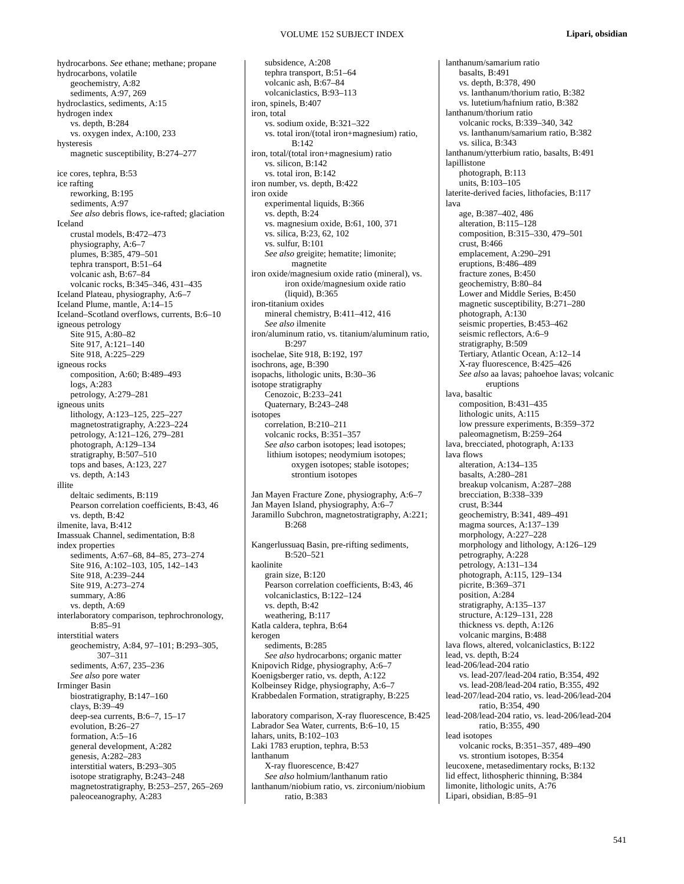hydrocarbons. *See* ethane; methane; propane hydrocarbons, volatile geochemistry, A:82 sediments, A:97, 269 hydroclastics, sediments, A:15 hydrogen index vs. depth, B:284 vs. oxygen index, A:100, 233 hysteresis magnetic susceptibility, B:274–277 ice cores, tephra, B:53 ice rafting reworking, B:195 sediments, A:97 *See also* debris flows, ice-rafted; glaciation Iceland crustal models, B:472–473 physiography, A:6–7 plumes, B:385, 479–501 tephra transport, B:51–64 volcanic ash, B:67–84 volcanic rocks, B:345–346, 431–435 Iceland Plateau, physiography, A:6–7 Iceland Plume, mantle, A:14–15 Iceland–Scotland overflows, currents, B:6–10 igneous petrology Site 915, A:80–82 Site 917, A:121–140 Site 918, A:225–229 igneous rocks composition, A:60; B:489–493 logs, A:283 petrology, A:279–281 igneous units lithology, A:123–125, 225–227 magnetostratigraphy, A:223–224 petrology, A:121–126, 279–281 photograph, A:129–134 stratigraphy, B:507-510 tops and bases, A:123, 227 vs. depth, A:143 illite deltaic sediments, B:119 Pearson correlation coefficients, B:43, 46 vs. depth, B:42 ilmenite, lava, B:412 Imassuak Channel, sedimentation, B:8 index properties sediments, A:67–68, 84–85, 273–274 Site 916, A:102–103, 105, 142–143 Site 918, A:239–244 Site 919, A:273–274 summary, A:86 vs. depth, A:69 interlaboratory comparison, tephrochronology,  $B.85 - 91$ interstitial waters geochemistry, A:84, 97–101; B:293–305, 307–311 sediments, A:67, 235–236 *See also* pore water Irminger Basin biostratigraphy, B:147–160 clays, B:39–49 deep-sea currents, B:6–7, 15–17 evolution, B:26–27 formation, A:5–16 general development, A:282 genesis, A:282–283 interstitial waters, B:293–305 isotope stratigraphy, B:243–248 magnetostratigraphy, B:253–257, 265–269 paleoceanography, A:283

subsidence, A:208 tephra transport, B:51–64 volcanic ash, B:67–84 volcaniclastics, B:93–113 iron, spinels, B:407 iron, total vs. sodium oxide, B:321–322 vs. total iron/(total iron+magnesium) ratio, B:142 iron, total/(total iron+magnesium) ratio vs. silicon, B:142 vs. total iron, B:142 iron number, vs. depth, B:422 iron oxide experimental liquids, B:366 vs. depth, B:24 vs. magnesium oxide, B:61, 100, 371 vs. silica, B:23, 62, 102 vs. sulfur, B:101 *See also* greigite; hematite; limonite; magnetite iron oxide/magnesium oxide ratio (mineral), vs. iron oxide/magnesium oxide ratio (liquid), B:365 iron-titanium oxides mineral chemistry, B:411–412, 416 *See also* ilmenite iron/aluminum ratio, vs. titanium/aluminum ratio, B:297 isochelae, Site 918, B:192, 197 isochrons, age, B:390 isopachs, lithologic units, B:30–36 isotope stratigraphy Cenozoic, B:233–241 Quaternary, B:243–248 isotopes correlation, B:210–211 volcanic rocks, B:351–357 *See also* carbon isotopes; lead isotopes; lithium isotopes; neodymium isotopes; oxygen isotopes; stable isotopes; strontium isotopes Jan Mayen Fracture Zone, physiography, A:6–7 Jan Mayen Island, physiography, A:6–7 Jaramillo Subchron, magnetostratigraphy, A:221; B:268 Kangerlussuaq Basin, pre-rifting sediments, B:520–521 kaolinite grain size, B:120 Pearson correlation coefficients, B:43, 46 volcaniclastics, B:122–124 vs. depth, B:42 weathering, B:117 Katla caldera, tephra, B:64 kerogen sediments, B:285 *See also* hydrocarbons; organic matter Knipovich Ridge, physiography, A:6–7 Koenigsberger ratio, vs. depth, A:122 Kolbeinsey Ridge, physiography, A:6–7 Krabbedalen Formation, stratigraphy, B:225 laboratory comparison, X-ray fluorescence, B:425 Labrador Sea Water, currents, B:6–10, 15 lahars, units, B:102–103 Laki 1783 eruption, tephra, B:53 lanthanum X-ray fluorescence, B:427 *See also* holmium/lanthanum ratio lanthanum/niobium ratio, vs. zirconium/niobium

ratio, B:383

lanthanum/samarium ratio basalts, B:491 vs. depth, B:378, 490 vs. lanthanum/thorium ratio, B:382 vs. lutetium/hafnium ratio, B:382 lanthanum/thorium ratio volcanic rocks, B:339–340, 342 vs. lanthanum/samarium ratio, B:382 vs. silica, B:343 lanthanum/ytterbium ratio, basalts, B:491 lapillistone<sup>-</sup> photograph, B:113 units,  $B:103-105$ laterite-derived facies, lithofacies, B:117 lava age, B:387–402, 486 alteration, B:115–128 composition, B:315–330, 479–501  $crust$ , B:466 emplacement, A:290–291 eruptions, B:486–489 fracture zones, B:450 geochemistry, B:80–84 Lower and Middle Series, B:450 magnetic susceptibility, B:271–280 photograph, A:130 seismic properties, B:453–462 seismic reflectors, A:6–9 stratigraphy, B:509 Tertiary, Atlantic Ocean, A:12–14 X-ray fluorescence, B:425–426 *See also* aa lavas; pahoehoe lavas; volcanic eruptions lava, basaltic composition, B:431–435 lithologic units, A:115 low pressure experiments, B:359–372 paleomagnetism, B:259–264 lava, brecciated, photograph, A:133 lava flows alteration, A:134–135 basalts, A:280–281 breakup volcanism, A:287–288 brecciation, B:338–339 crust, B:344 geochemistry, B:341, 489–491 magma sources, A:137–139 morphology, A:227–228 morphology and lithology, A:126-129 petrography, A:228 petrology, A:131–134 photograph, A:115, 129–134 picrite, B:369–371 position, A:284 stratigraphy, A:135–137 structure, A:129–131, 228 thickness vs. depth, A:126 volcanic margins, B:488 lava flows, altered, volcaniclastics, B:122 lead, vs. depth, B:24 lead-206/lead-204 ratio vs. lead-207/lead-204 ratio, B:354, 492 vs. lead-208/lead-204 ratio, B:355, 492 lead-207/lead-204 ratio, vs. lead-206/lead-204 ratio, B:354, 490 lead-208/lead-204 ratio, vs. lead-206/lead-204 ratio, B:355, 490 lead isotopes volcanic rocks, B:351–357, 489–490 vs. strontium isotopes, B:354 leucoxene, metasedimentary rocks, B:132 lid effect, lithospheric thinning, B:384 limonite, lithologic units, A:76 Lipari, obsidian, B:85–91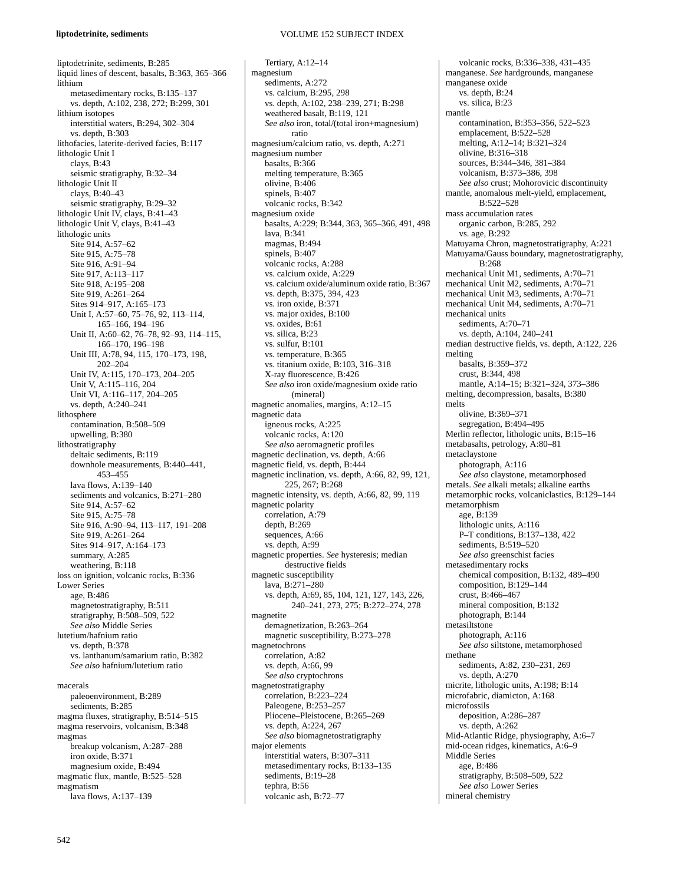#### **liptodetrinite, sediment**s

liptodetrinite, sediments, B:285 liquid lines of descent, basalts, B:363, 365–366 lithium metasedimentary rocks, B:135–137 vs. depth, A:102, 238, 272; B:299, 301 lithium isotopes interstitial waters, B:294, 302–304 vs. depth, B:303 lithofacies, laterite-derived facies, B:117 lithologic Unit I clays, B:43 seismic stratigraphy, B:32–34 lithologic Unit II clays, B:40–43 seismic stratigraphy, B:29–32 lithologic Unit IV, clays, B:41–43 lithologic Unit V, clays, B:41–43 lithologic units Site 914, A:57–62 Site 915, A:75–78 Site 916, A:91–94 Site 917, A:113–117 Site 918, A:195–208 Site 919, A:261–264 Sites 914–917, A:165–173 Unit I, A:57–60, 75–76, 92, 113–114, 165–166, 194–196 Unit II, A:60–62, 76–78, 92–93, 114–115, 166–170, 196–198 Unit III, A:78, 94, 115, 170–173, 198, 202–204 Unit IV, A:115, 170–173, 204–205 Unit V, A:115–116, 204 Unit VI, A:116–117, 204–205 vs. depth, A:240–241 lithosphere contamination, B:508–509 upwelling, B:380 lithostratigraphy deltaic sediments, B:119 downhole measurements, B:440–441, 453–455 lava flows, A:139–140 sediments and volcanics, B:271–280 Site 914, A:57–62 Site 915, A:75–78 Site 916, A:90–94, 113–117, 191–208 Site 919, A:261–264 Sites 914–917, A:164–173 summary, A:285 weathering, B:118 loss on ignition, volcanic rocks, B:336 Lower Series age, B:486 magnetostratigraphy, B:511 stratigraphy, B:508–509, 522 *See also* Middle Series lutetium/hafnium ratio vs. depth, B:378 vs. lanthanum/samarium ratio, B:382 *See also* hafnium/lutetium ratio macerals paleoenvironment, B:289 sediments, B:285 magma fluxes, stratigraphy, B:514–515 magma reservoirs, volcanism, B:348

magmas breakup volcanism, A:287–288 iron oxide, B:371 magnesium oxide, B:494 magmatic flux, mantle, B:525–528 magmatism lava flows, A:137–139

## VOLUME 152 SUBJECT INDEX

Tertiary, A:12–14 magnesium sediments, A:272 vs. calcium, B:295, 298 vs. depth, A:102, 238–239, 271; B:298 weathered basalt, B:119, 121 *See also* iron, total/(total iron+magnesium) ratio magnesium/calcium ratio, vs. depth, A:271 magnesium number basalts, B:366 melting temperature, B:365 olivine, B:406 spinels, B:407 volcanic rocks, B:342 magnesium oxide basalts, A:229; B:344, 363, 365–366, 491, 498 lava, B:341 magmas, B:494 spinels, B:407 volcanic rocks, A:288 vs. calcium oxide, A:229 vs. calcium oxide/aluminum oxide ratio, B:367 vs. depth, B:375, 394, 423 vs. iron oxide, B:371 vs. major oxides, B:100 vs. oxides, B:61 vs. silica, B:23 vs. sulfur, B:101 vs. temperature, B:365 vs. titanium oxide, B:103, 316–318 X-ray fluorescence, B:426 *See also* iron oxide/magnesium oxide ratio (mineral) magnetic anomalies, margins, A:12–15 magnetic data igneous rocks, A:225 volcanic rocks, A:120 *See also* aeromagnetic profiles magnetic declination, vs. depth, A:66 magnetic field, vs. depth, B:444 magnetic inclination, vs. depth, A:66, 82, 99, 121, 225, 267; B:268 magnetic intensity, vs. depth, A:66, 82, 99, 119 magnetic polarity correlation, A:79 depth, B:269 sequences, A:66 vs. depth, A:99 magnetic properties. *See* hysteresis; median destructive fields magnetic susceptibility lava, B:271–280 vs. depth, A:69, 85, 104, 121, 127, 143, 226, 240–241, 273, 275; B:272–274, 278 magnetite demagnetization, B:263–264 magnetic susceptibility, B:273–278 magnetochrons correlation, A:82 vs. depth, A:66, 99 *See also* cryptochrons magnetostratigraphy correlation, B:223–224 Paleogene, B:253–257 Pliocene–Pleistocene, B:265–269 vs. depth, A:224, 267 *See also* biomagnetostratigraphy major elements interstitial waters, B:307–311 metasedimentary rocks, B:133–135 sediments, B:19–28 tephra, B:56 volcanic ash, B:72–77

manganese. *See* hardgrounds, manganese manganese oxide vs. depth, B:24 vs. silica, B:23 mantle contamination, B:353–356, 522–523 emplacement, B:522–528 melting, A:12–14; B:321–324 olivine, B:316–318 sources, B:344–346, 381–384 volcanism, B:373–386, 398 *See also* crust; Mohorovicic discontinuity mantle, anomalous melt-yield, emplacement, B:522–528 mass accumulation rates organic carbon, B:285, 292 vs. age, B:292 Matuyama Chron, magnetostratigraphy, A:221 Matuyama/Gauss boundary, magnetostratigraphy,  $R:268$ mechanical Unit M1, sediments, A:70–71 mechanical Unit M2, sediments, A:70–71 mechanical Unit M3, sediments, A:70–71 mechanical Unit M4, sediments, A:70–71 mechanical units sediments, A:70–71 vs. depth, A:104, 240–241 median destructive fields, vs. depth, A:122, 226 melting basalts, B:359–372 crust, B:344, 498 mantle, A:14–15; B:321–324, 373–386 melting, decompression, basalts, B:380 melts olivine, B:369–371 segregation, B:494–495 Merlin reflector, lithologic units, B:15–16 metabasalts, petrology, A:80–81 metaclaystone photograph, A:116 *See also* claystone, metamorphosed metals. *See* alkali metals; alkaline earths metamorphic rocks, volcaniclastics, B:129–144 metamorphism age, B:139 lithologic units, A:116 P–T conditions, B:137–138, 422 sediments, B:519–520 *See also* greenschist facies metasedimentary rocks chemical composition, B:132, 489–490 composition, B:129–144 crust, B:466–467 mineral composition, B:132 photograph, B:144 metasiltstone photograph, A:116 *See also* siltstone, metamorphosed methane sediments, A:82, 230–231, 269 vs. depth, A:270 micrite, lithologic units, A:198; B:14 microfabric, diamicton, A:168 microfossils deposition, A:286–287 vs. depth, A:262 Mid-Atlantic Ridge, physiography, A:6–7 mid-ocean ridges, kinematics, A:6–9 Middle Series age, B:486 stratigraphy, B:508–509, 522 *See also* Lower Series mineral chemistry

volcanic rocks, B:336–338, 431–435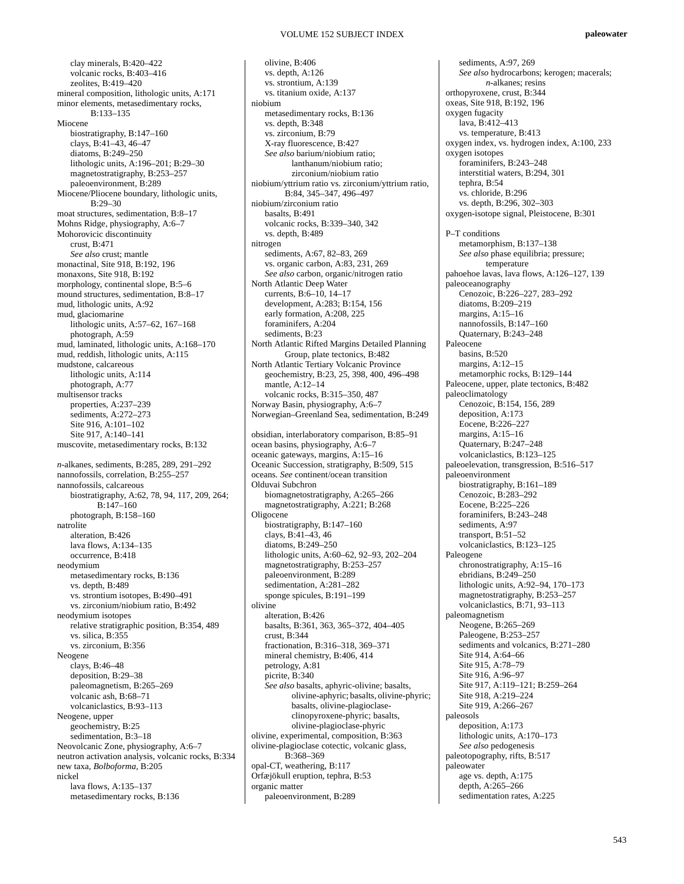clay minerals, B:420–422 volcanic rocks, B:403–416 zeolites, B:419–420 mineral composition, lithologic units, A:171 minor elements, metasedimentary rocks, B:133–135 Miocene biostratigraphy, B:147–160 clays, B:41–43, 46–47 diatoms, B:249–250 lithologic units, A:196–201; B:29–30 magnetostratigraphy, B:253–257 paleoenvironment, B:289 Miocene/Pliocene boundary, lithologic units, B:29–30 moat structures, sedimentation, B:8–17 Mohns Ridge, physiography, A:6–7 Mohorovicic discontinuity crust, B:471 *See also* crust; mantle monactinal*,* Site 918, B:192, 196 monaxons, Site 918, B:192 morphology, continental slope, B:5–6 mound structures, sedimentation, B:8–17 mud, lithologic units, A:92 mud, glaciomarine lithologic units, A:57–62, 167–168 photograph, A:59 mud, laminated, lithologic units, A:168–170 mud, reddish, lithologic units, A:115 mudstone, calcareous lithologic units, A:114 photograph, A:77 multisensor tracks properties, A:237–239 sediments, A:272–273 Site 916, A:101–102 Site 917, A:140–141 muscovite, metasedimentary rocks, B:132 *n-*alkanes, sediments, B:285, 289, 291–292 nannofossils, correlation, B:255–257 nannofossils, calcareous biostratigraphy, A:62, 78, 94, 117, 209, 264;  $B:147-160$ photograph, B:158–160 natrolite alteration, B:426 lava flows, A:134–135 occurrence, B:418 neodymium metasedimentary rocks, B:136 vs. depth, B:489 vs. strontium isotopes, B:490–491 vs. zirconium/niobium ratio, B:492 neodymium isotopes relative stratigraphic position, B:354, 489 vs. silica, B:355 vs. zirconium, B:356 Neogene clays, B:46–48 deposition, B:29–38 paleomagnetism, B:265–269 volcanic ash, B:68–71 volcaniclastics, B:93–113 Neogene, upper geochemistry, B:25 sedimentation, B:3–18 Neovolcanic Zone, physiography, A:6–7 neutron activation analysis, volcanic rocks, B:334 new taxa, *Bolboforma,* B:205 nickel lava flows, A:135–137 metasedimentary rocks, B:136

olivine, B:406 vs. depth, A:126 vs. strontium, A:139 vs. titanium oxide, A:137 niobium metasedimentary rocks, B:136 vs. depth, B:348 vs. zirconium, B:79 X-ray fluorescence, B:427 *See also* barium/niobium ratio; lanthanum/niobium ratio; zirconium/niobium ratio niobium/yttrium ratio vs. zirconium/yttrium ratio, B:84, 345–347, 496–497 niobium/zirconium ratio basalts, B:491 volcanic rocks, B:339–340, 342 vs. depth, B:489 nitrogen sediments, A:67, 82–83, 269 vs. organic carbon, A:83, 231, 269 *See also* carbon, organic/nitrogen ratio North Atlantic Deep Water currents, B:6–10, 14–17 development, A:283; B:154, 156 early formation, A:208, 225 foraminifers, A:204 sediments, B:23 North Atlantic Rifted Margins Detailed Planning Group, plate tectonics, B:482 North Atlantic Tertiary Volcanic Province geochemistry, B:23, 25, 398, 400, 496–498 mantle, A:12–14 volcanic rocks, B:315–350, 487 Norway Basin, physiography, A:6–7 Norwegian–Greenland Sea, sedimentation, B:249 obsidian, interlaboratory comparison, B:85–91 ocean basins, physiography, A:6–7 oceanic gateways, margins, A:15–16 Oceanic Succession, stratigraphy, B:509, 515 oceans. *See* continent/ocean transition Olduvai Subchron biomagnetostratigraphy, A:265–266 magnetostratigraphy, A:221; B:268 Oligocene biostratigraphy, B:147–160 clays, B:41–43, 46 diatoms, B:249–250 lithologic units, A:60–62, 92–93, 202–204 magnetostratigraphy, B:253–257 paleoenvironment, B:289 sedimentation, A:281–282 sponge spicules, B:191–199 olivine alteration, B:426 basalts, B:361, 363, 365–372, 404–405 crust, B:344 fractionation, B:316–318, 369–371 mineral chemistry, B:406, 414 petrology, A:81 picrite, B:340 *See also* basalts, aphyric-olivine; basalts, olivine-aphyric; basalts, olivine-phyric; basalts, olivine-plagioclaseclinopyroxene-phyric; basalts, olivine-plagioclase-phyric olivine, experimental, composition, B:363 olivine-plagioclase cotectic, volcanic glass, B:368–369 opal-CT, weathering, B:117 Orfæjökull eruption, tephra, B:53 organic matter paleoenvironment, B:289

sediments, A:97, 269 *See also* hydrocarbons; kerogen; macerals; *n*-alkanes; resins orthopyroxene, crust, B:344 oxeas, Site 918, B:192, 196 oxygen fugacity lava, B:412–413 vs. temperature, B:413 oxygen index, vs. hydrogen index, A:100, 233 oxygen isotopes foraminifers, B:243–248 interstitial waters, B:294, 301 tephra, B:54 vs. chloride, B:296 vs. depth, B:296, 302–303 oxygen-isotope signal, Pleistocene, B:301 P–T conditions metamorphism, B:137–138 *See also* phase equilibria; pressure; temperature pahoehoe lavas, lava flows, A:126–127, 139 paleoceanography Cenozoic, B:226–227, 283–292 diatoms, B:209–219 margins, A:15–16 nannofossils, B:147–160 Quaternary, B:243–248 Paleocene basins, B:520 margins, A:12–15 metamorphic rocks, B:129–144 Paleocene, upper, plate tectonics, B:482 paleoclimatology Cenozoic, B:154, 156, 289 deposition, A:173 Eocene, B:226–227 margins, A:15–16 Quaternary, B:247–248 volcaniclastics, B:123–125 paleoelevation, transgression, B:516–517 paleoenvironment biostratigraphy, B:161–189 Cenozoic, B:283–292 Eocene, B:225–226 foraminifers, B:243–248 sediments, A:97 transport, B:51–52 volcaniclastics, B:123–125 Paleogene chronostratigraphy, A:15–16 ebridians, B:249–250 lithologic units, A:92–94, 170–173 magnetostratigraphy, B:253–257 volcaniclastics, B:71, 93–113 paleomagnetism Neogene, B:265–269 Paleogene, B:253–257 sediments and volcanics, B:271–280 Site 914, A:64–66 Site 915, A:78–79 Site 916, A:96–97 Site 917, A:119–121; B:259–264 Site 918, A:219–224 Site 919, A:266-267 paleosols deposition, A:173 lithologic units, A:170–173 *See also* pedogenesis paleotopography, rifts, B:517 paleowater age vs. depth, A:175 depth, A:265–266 sedimentation rates, A:225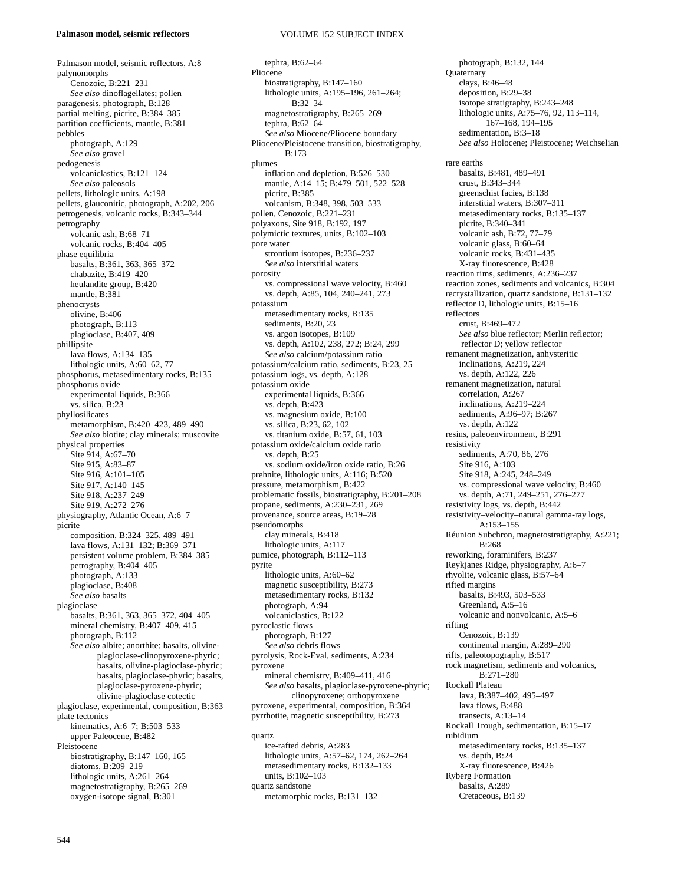#### **Palmason model, seismic reflectors**

#### Palmason model, seismic reflectors, A:8 palynomorphs Cenozoic, B:221–231 *See also* dinoflagellates; pollen paragenesis, photograph, B:128 partial melting, picrite, B:384–385 partition coefficients, mantle, B:381 pebbles photograph, A:129 *See also* gravel pedogenesis volcaniclastics, B:121–124 *See also* paleosols pellets, lithologic units, A:198 pellets, glauconitic, photograph, A:202, 206 petrogenesis, volcanic rocks, B:343–344 petrography volcanic ash, B:68–71 volcanic rocks, B:404–405 phase equilibria basalts, B:361, 363, 365–372 chabazite, B:419–420 heulandite group, B:420 mantle, B:381 phenocrysts olivine, B:406 photograph, B:113 plagioclase, B:407, 409 phillipsite lava flows, A:134–135 lithologic units, A:60–62, 77 phosphorus, metasedimentary rocks, B:135 phosphorus oxide experimental liquids, B:366 vs. silica, B:23 phyllosilicates metamorphism, B:420–423, 489–490 *See also* biotite; clay minerals; muscovite physical properties Site 914, A:67-70 Site 915, A:83–87 Site 916, A:101–105 Site 917, A:140–145 Site 918, A:237–249 Site 919, A:272–276 physiography, Atlantic Ocean, A:6–7 picrite composition, B:324–325, 489–491 lava flows, A:131–132; B:369–371 persistent volume problem, B:384–385 petrography, B:404–405 photograph, A:133 plagioclase, B:408 *See also* basalts plagioclase basalts, B:361, 363, 365–372, 404–405 mineral chemistry, B:407–409, 415 photograph, B:112 *See also* albite; anorthite; basalts, olivineplagioclase-clinopyroxene-phyric; basalts, olivine-plagioclase-phyric; basalts, plagioclase-phyric; basalts, plagioclase-pyroxene-phyric; olivine-plagioclase cotectic plagioclase, experimental, composition, B:363 plate tectonics kinematics, A:6–7; B:503–533 upper Paleocene, B:482 Pleistocene biostratigraphy, B:147–160, 165 diatoms, B:209–219 lithologic units, A:261–264 magnetostratigraphy, B:265–269

### VOLUME 152 SUBJECT INDEX

tephra, B:62–64 Pliocene biostratigraphy, B:147–160 lithologic units, A:195–196, 261–264; B:32–34 magnetostratigraphy, B:265–269 tephra, B:62–64 *See also* Miocene/Pliocene boundary Pliocene/Pleistocene transition, biostratigraphy, B:173 plumes inflation and depletion, B:526–530 mantle, A:14–15; B:479–501, 522–528 picrite, B:385 volcanism, B:348, 398, 503–533 pollen, Cenozoic, B:221–231 polyaxons, Site 918, B:192, 197 polymictic textures, units, B:102–103 pore water strontium isotopes, B:236–237 *See also* interstitial waters porosity vs. compressional wave velocity, B:460 vs. depth, A:85, 104, 240–241, 273 potassium metasedimentary rocks, B:135 sediments, B:20, 23 vs. argon isotopes, B:109 vs. depth, A:102, 238, 272; B:24, 299 *See also* calcium/potassium ratio potassium/calcium ratio, sediments, B:23, 25 potassium logs, vs. depth, A:128 potassium oxide experimental liquids, B:366 vs. depth, B:423 vs. magnesium oxide, B:100 vs. silica, B:23, 62, 102 vs. titanium oxide, B:57, 61, 103 potassium oxide/calcium oxide ratio vs. depth, B:25 vs. sodium oxide/iron oxide ratio, B:26 prehnite, lithologic units, A:116; B:520 pressure, metamorphism, B:422 problematic fossils, biostratigraphy, B:201–208 propane, sediments, A:230–231, 269 provenance, source areas, B:19–28 pseudomorphs clay minerals, B:418 lithologic units, A:117 pumice, photograph, B:112–113 pyrite lithologic units, A:60–62 magnetic susceptibility, B:273 metasedimentary rocks, B:132 photograph, A:94 volcaniclastics, B:122 pyroclastic flows photograph, B:127 *See also* debris flows pyrolysis, Rock-Eval, sediments, A:234 pyroxene mineral chemistry, B:409–411, 416 *See also* basalts, plagioclase-pyroxene-phyric; clinopyroxene; orthopyroxene pyroxene, experimental, composition, B:364 pyrrhotite, magnetic susceptibility, B:273 quartz ice-rafted debris, A:283 lithologic units, A:57–62, 174, 262–264 metasedimentary rocks, B:132–133 units, B:102–103

quartz sandstone

metamorphic rocks, B:131–132

photograph, B:132, 144 **Quaternary** clays, B:46–48 deposition, B:29–38 isotope stratigraphy, B:243–248 lithologic units, A:75–76, 92, 113–114, 167–168, 194–195 sedimentation, B:3–18 *See also* Holocene; Pleistocene; Weichselian rare earths basalts, B:481, 489–491 crust, B:343–344 greenschist facies, B:138 interstitial waters, B:307–311 metasedimentary rocks, B:135–137 picrite, B:340–341 volcanic ash, B:72, 77–79 volcanic glass, B:60–64 volcanic rocks, B:431–435 X-ray fluorescence, B:428 reaction rims, sediments, A:236–237 reaction zones, sediments and volcanics, B:304 recrystallization, quartz sandstone, B:131–132 reflector D, lithologic units, B:15–16 reflectors crust, B:469–472 *See also* blue reflector; Merlin reflector; reflector D; yellow reflector remanent magnetization, anhysteritic inclinations, A:219, 224 vs. depth, A:122, 226 remanent magnetization, natural correlation, A:267 inclinations, A:219–224 sediments, A:96–97; B:267 vs. depth, A:122 resins, paleoenvironment, B:291 resistivity sediments, A:70, 86, 276 Site 916, A:103 Site 918, A:245, 248–249 vs. compressional wave velocity, B:460 vs. depth, A:71, 249–251, 276–277 resistivity logs, vs. depth, B:442 resistivity–velocity–natural gamma-ray logs, A:153–155 Réunion Subchron, magnetostratigraphy, A:221;  $R:268$ reworking, foraminifers, B:237 Reykjanes Ridge, physiography, A:6–7 rhyolite, volcanic glass, B:57–64 rifted margins basalts, B:493, 503–533 Greenland, A:5–16 volcanic and nonvolcanic, A:5–6 rifting Cenozoic, B:139 continental margin, A:289–290 rifts, paleotopography, B:517 rock magnetism, sediments and volcanics, B:271–280 Rockall Plateau lava, B:387–402, 495–497 lava flows, B:488 transects, A:13–14 Rockall Trough, sedimentation, B:15–17 rubidium metasedimentary rocks, B:135–137 vs. depth, B:24 X-ray fluorescence, B:426 Ryberg Formation basalts, A:289 Cretaceous, B:139

oxygen-isotope signal, B:301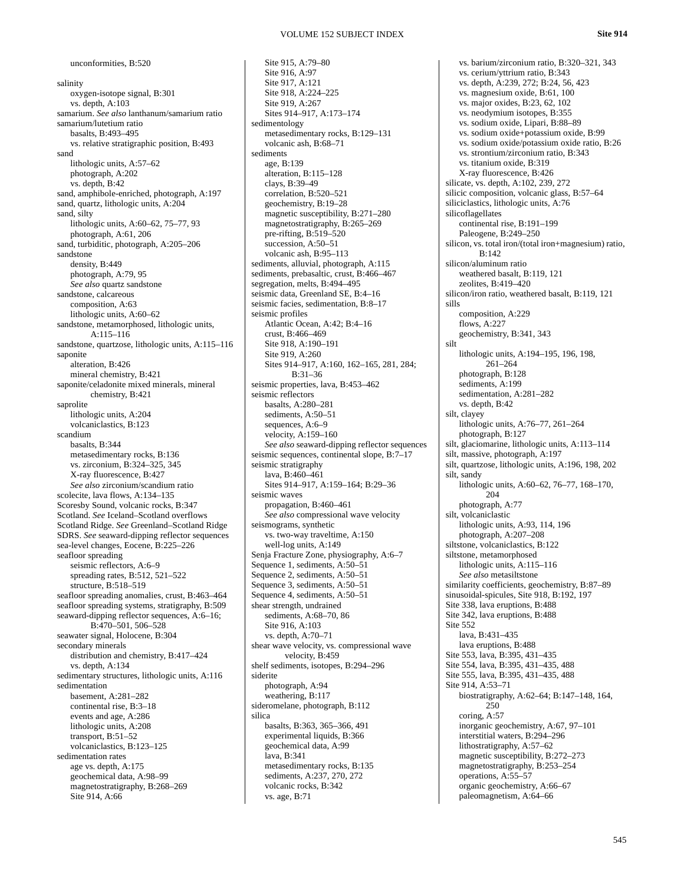**Site 914**

salinity oxygen-isotope signal, B:301 vs. depth, A:103 samarium. *See also* lanthanum/samarium ratio samarium/lutetium ratio basalts, B:493–495 vs. relative stratigraphic position, B:493 sand lithologic units, A:57–62 photograph, A:202 vs. depth, B:42 sand, amphibole-enriched, photograph, A:197 sand, quartz, lithologic units, A:204 sand, silty lithologic units, A:60–62, 75–77, 93 photograph, A:61, 206 sand, turbiditic, photograph, A:205–206 sandstone density, B:449 photograph, A:79, 95 *See also* quartz sandstone sandstone, calcareous composition, A:63 lithologic units, A:60–62 sandstone, metamorphosed, lithologic units, A:115–116 sandstone, quartzose, lithologic units, A:115–116 saponite alteration, B:426 mineral chemistry, B:421 saponite/celadonite mixed minerals, mineral chemistry, B:421 saprolite lithologic units, A:204 volcaniclastics, B:123 scandium basalts, B:344 metasedimentary rocks, B:136 vs. zirconium, B:324–325, 345 X-ray fluorescence, B:427 *See also* zirconium/scandium ratio scolecite, lava flows, A:134–135 Scoresby Sound, volcanic rocks, B:347 Scotland. *See* Iceland–Scotland overflows Scotland Ridge. *See* Greenland–Scotland Ridge SDRS. *See* seaward-dipping reflector sequences sea-level changes, Eocene, B:225–226 seafloor spreading seismic reflectors, A:6–9 spreading rates, B:512, 521–522 structure, B:518–519 seafloor spreading anomalies, crust, B:463–464 seafloor spreading systems, stratigraphy, B:509 seaward-dipping reflector sequences, A:6–16; B:470–501, 506–528 seawater signal, Holocene, B:304 secondary minerals distribution and chemistry, B:417–424 vs. depth, A:134 sedimentary structures, lithologic units, A:116 sedimentation basement, A:281–282 continental rise, B:3–18 events and age, A:286 lithologic units, A:208 transport, B:51–52 volcaniclastics, B:123–125 sedimentation rates age vs. depth, A:175 geochemical data, A:98–99 magnetostratigraphy, B:268–269 Site 914, A:66

unconformities, B:520

Site 915, A:79–80 Site 916, A:97 Site 917, A:121 Site 918, A:224–225 Site 919, A:267 Sites 914–917, A:173–174 sedimentology metasedimentary rocks, B:129–131 volcanic ash, B:68–71 sediments age, B:139 alteration, B:115–128 clays, B:39–49 correlation, B:520–521 geochemistry, B:19–28 magnetic susceptibility, B:271–280 magnetostratigraphy, B:265–269 pre-rifting, B:519–520 succession, A:50-51 volcanic ash, B:95–113 sediments, alluvial, photograph, A:115 sediments, prebasaltic, crust, B:466–467 segregation, melts, B:494–495 seismic data, Greenland SE, B:4–16 seismic facies, sedimentation, B:8–17 seismic profiles Atlantic Ocean, A:42; B:4–16 crust, B:466–469 Site 918, A:190–191 Site 919, A:260 Sites 914–917, A:160, 162–165, 281, 284; B:31–36 seismic properties, lava, B:453–462 seismic reflectors basalts, A:280–281 sediments, A:50–51 sequences, A:6–9 velocity, A:159–160 *See also* seaward-dipping reflector sequences seismic sequences, continental slope, B:7–17 seismic stratigraphy lava, B:460–461 Sites 914–917, A:159–164; B:29–36 seismic waves propagation, B:460–461 *See also* compressional wave velocity seismograms, synthetic vs. two-way traveltime, A:150 well-log units, A:149 Senja Fracture Zone, physiography, A:6–7 Sequence 1, sediments, A:50–51 Sequence 2, sediments, A:50–51 Sequence 3, sediments, A:50–51 Sequence 4, sediments, A:50–51 shear strength, undrained sediments, A:68–70, 86 Site 916, A:103 vs. depth, A:70–71 shear wave velocity, vs. compressional wave velocity, B:459 shelf sediments, isotopes, B:294–296 siderite photograph, A:94 weathering, B:117 sideromelane, photograph, B:112 silica basalts, B:363, 365–366, 491 experimental liquids, B:366 geochemical data, A:99 lava, B:341 metasedimentary rocks, B:135 sediments, A:237, 270, 272 volcanic rocks, B:342 vs. age, B:71

vs. barium/zirconium ratio, B:320–321, 343 vs. cerium/yttrium ratio, B:343 vs. depth, A:239, 272; B:24, 56, 423 vs. magnesium oxide, B:61, 100 vs. major oxides, B:23, 62, 102 vs. neodymium isotopes, B:355 vs. sodium oxide, Lipari, B:88–89 vs. sodium oxide+potassium oxide, B:99 vs. sodium oxide/potassium oxide ratio, B:26 vs. strontium/zirconium ratio, B:343 vs. titanium oxide, B:319 X-ray fluorescence, B:426 silicate, vs. depth, A:102, 239, 272 silicic composition, volcanic glass, B:57–64 siliciclastics, lithologic units, A:76 silicoflagellates continental rise, B:191–199 Paleogene, B:249–250 silicon, vs. total iron/(total iron+magnesium) ratio, B:142 silicon/aluminum ratio weathered basalt, B:119, 121 zeolites, B:419–420 silicon/iron ratio, weathered basalt, B:119, 121 sills composition, A:229 flows, A:227 geochemistry, B:341, 343 silt lithologic units, A:194–195, 196, 198, 261–264 photograph, B:128 sediments, A:199 sedimentation, A:281–282 vs. depth, B:42 silt, clayey lithologic units, A:76–77, 261–264 photograph, B:127 silt, glaciomarine, lithologic units, A:113–114 silt, massive, photograph, A:197 silt, quartzose, lithologic units, A:196, 198, 202 silt, sandy lithologic units, A:60–62, 76–77, 168–170, 204 photograph, A:77 silt, volcaniclastic lithologic units, A:93, 114, 196 photograph, A:207–208 siltstone, volcaniclastics, B:122 siltstone, metamorphosed lithologic units, A:115–116 *See also* metasiltstone similarity coefficients, geochemistry, B:87–89 sinusoidal-spicules, Site 918, B:192, 197 Site 338, lava eruptions, B:488 Site 342, lava eruptions, B:488 Site 552 lava, B:431–435 lava eruptions, B:488 Site 553, lava, B:395, 431–435 Site 554, lava, B:395, 431–435, 488 Site 555, lava, B:395, 431–435, 488 Site 914, A:53–71 biostratigraphy, A:62–64; B:147–148, 164,  $250$ coring, A:57 inorganic geochemistry, A:67, 97–101 interstitial waters, B:294–296 lithostratigraphy, A:57–62 magnetic susceptibility, B:272–273 magnetostratigraphy, B:253–254 operations, A:55–57 organic geochemistry, A:66–67 paleomagnetism, A:64–66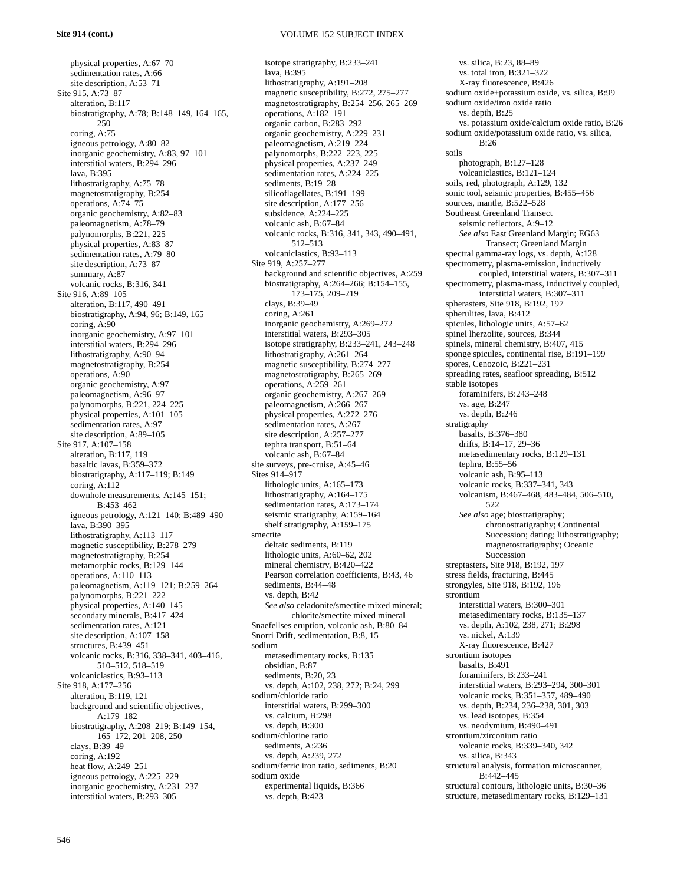physical properties, A:67–70 sedimentation rates, A:66 site description, A:53–71 Site 915, A:73–87 alteration, B:117 biostratigraphy, A:78; B:148–149, 164–165, 250 coring, A:75 igneous petrology, A:80–82 inorganic geochemistry, A:83, 97–101 interstitial waters, B:294–296 lava, B:395 lithostratigraphy, A:75–78 magnetostratigraphy, B:254 operations, A:74–75 organic geochemistry, A:82–83 paleomagnetism, A:78–79 palynomorphs, B:221, 225 physical properties, A:83–87 sedimentation rates, A:79–80 site description, A:73–87 summary, A:87 volcanic rocks, B:316, 341 Site 916, A:89–105 alteration, B:117, 490–491 biostratigraphy, A:94, 96; B:149, 165 coring, A:90 inorganic geochemistry, A:97–101 interstitial waters, B:294–296 lithostratigraphy, A:90–94 magnetostratigraphy, B:254 operations, A:90 organic geochemistry, A:97 paleomagnetism, A:96–97 palynomorphs, B:221, 224–225 physical properties, A:101–105 sedimentation rates, A:97 site description, A:89–105 Site 917, A:107–158 alteration, B:117, 119 basaltic lavas, B:359–372 biostratigraphy, A:117–119; B:149 coring, A:112 downhole measurements, A:145–151; B:453–462 igneous petrology, A:121–140; B:489–490 lava, B:390–395 lithostratigraphy, A:113–117 magnetic susceptibility, B:278–279 magnetostratigraphy, B:254 metamorphic rocks, B:129–144 operations, A:110–113 paleomagnetism, A:119–121; B:259–264 palynomorphs, B:221–222 physical properties, A:140–145 secondary minerals, B:417–424 sedimentation rates, A:121 site description, A:107–158 structures, B:439–451 volcanic rocks, B:316, 338–341, 403–416, 510–512, 518–519 volcaniclastics, B:93–113 Site 918, A:177–256 alteration, B:119, 121 background and scientific objectives, A:179–182 biostratigraphy, A:208–219; B:149–154, 165–172, 201–208, 250 clays, B:39–49 coring, A:192 heat flow, A:249–251 igneous petrology, A:225–229 inorganic geochemistry, A:231–237 interstitial waters, B:293–305

# VOLUME 152 SUBJECT INDEX

isotope stratigraphy, B:233–241 lava, B:395 lithostratigraphy, A:191–208 magnetic susceptibility, B:272, 275–277 magnetostratigraphy, B:254–256, 265–269 operations, A:182–191 organic carbon, B:283–292 organic geochemistry, A:229–231 paleomagnetism, A:219–224 palynomorphs, B:222–223, 225 physical properties, A:237–249 sedimentation rates, A:224–225 sediments, B:19–28 silicoflagellates, B:191–199 site description, A:177–256 subsidence, A:224–225 volcanic ash, B:67–84 volcanic rocks, B:316, 341, 343, 490–491, 512–513 volcaniclastics, B:93–113 Site 919, A:257–277 background and scientific objectives, A:259 biostratigraphy, A:264–266; B:154–155, 173–175, 209–219 clays, B:39–49 coring, A:261 inorganic geochemistry, A:269–272 interstitial waters, B:293–305 isotope stratigraphy, B:233–241, 243–248 lithostratigraphy, A:261–264 magnetic susceptibility, B:274–277 magnetostratigraphy, B:265–269 operations, A:259–261 organic geochemistry, A:267–269 paleomagnetism, A:266–267 physical properties, A:272–276 sedimentation rates, A:267 site description, A:257–277 tephra transport, B:51–64 volcanic ash, B:67–84 site surveys, pre-cruise, A:45–46 Sites 914–917 lithologic units, A:165–173 lithostratigraphy, A:164–175 sedimentation rates, A:173–174 seismic stratigraphy, A:159–164 shelf stratigraphy, A:159–175 smectite deltaic sediments, B:119 lithologic units, A:60–62, 202 mineral chemistry, B:420–422 Pearson correlation coefficients, B:43, 46 sediments, B:44–48 vs. depth, B:42 *See also* celadonite/smectite mixed mineral; chlorite/smectite mixed mineral Snaefellses eruption, volcanic ash, B:80–84 Snorri Drift, sedimentation, B:8, 15 sodium metasedimentary rocks, B:135 obsidian, B:87 sediments, B:20, 23 vs. depth, A:102, 238, 272; B:24, 299 sodium/chloride ratio interstitial waters, B:299–300 vs. calcium, B:298 vs. depth, B:300 sodium/chlorine ratio sediments, A:236 vs. depth, A:239, 272 sodium/ferric iron ratio, sediments, B:20 sodium oxide experimental liquids, B:366 vs. depth, B:423

vs. silica, B:23, 88–89 vs. total iron, B:321–322 X-ray fluorescence, B:426 sodium oxide+potassium oxide, vs. silica, B:99 sodium oxide/iron oxide ratio vs. depth, B:25 vs. potassium oxide/calcium oxide ratio, B:26 sodium oxide/potassium oxide ratio, vs. silica,  $B.26$ soils photograph, B:127–128 volcaniclastics, B:121–124 soils, red, photograph, A:129, 132 sonic tool, seismic properties, B:455–456 sources, mantle, B:522–528 Southeast Greenland Transect seismic reflectors, A:9–12 *See also* East Greenland Margin; EG63 Transect; Greenland Margin spectral gamma-ray logs, vs. depth, A:128 spectrometry, plasma-emission, inductively coupled, interstitial waters, B:307–311 spectrometry, plasma-mass, inductively coupled, interstitial waters, B:307–311 spherasters, Site 918, B:192, 197 spherulites, lava, B:412 spicules, lithologic units, A:57–62 spinel lherzolite, sources, B:344 spinels, mineral chemistry, B:407, 415 sponge spicules, continental rise, B:191–199 spores, Cenozoic, B:221–231 spreading rates, seafloor spreading, B:512 stable isotopes foraminifers, B:243–248 vs. age, B:247 vs. depth, B:246 stratigraphy basalts, B:376–380 drifts, B:14–17, 29–36 metasedimentary rocks, B:129–131 tephra, B:55–56 volcanic ash, B:95–113 volcanic rocks, B:337–341, 343 volcanism, B:467–468, 483–484, 506–510, 522 *See also* age; biostratigraphy; chronostratigraphy; Continental Succession; dating; lithostratigraphy; magnetostratigraphy; Oceanic Succession streptasters, Site 918, B:192, 197 stress fields, fracturing, B:445 strongyles*,* Site 918, B:192, 196 strontium interstitial waters, B:300–301 metasedimentary rocks, B:135–137 vs. depth, A:102, 238, 271; B:298 vs. nickel, A:139 X-ray fluorescence, B:427 strontium isotopes basalts, B:491 foraminifers, B:233–241 interstitial waters, B:293–294, 300–301 volcanic rocks, B:351–357, 489–490 vs. depth, B:234, 236–238, 301, 303 vs. lead isotopes, B:354 vs. neodymium, B:490–491 strontium/zirconium ratio volcanic rocks, B:339–340, 342 vs. silica, B:343 structural analysis, formation microscanner, B:442–445 structural contours, lithologic units, B:30–36

structure, metasedimentary rocks, B:129–131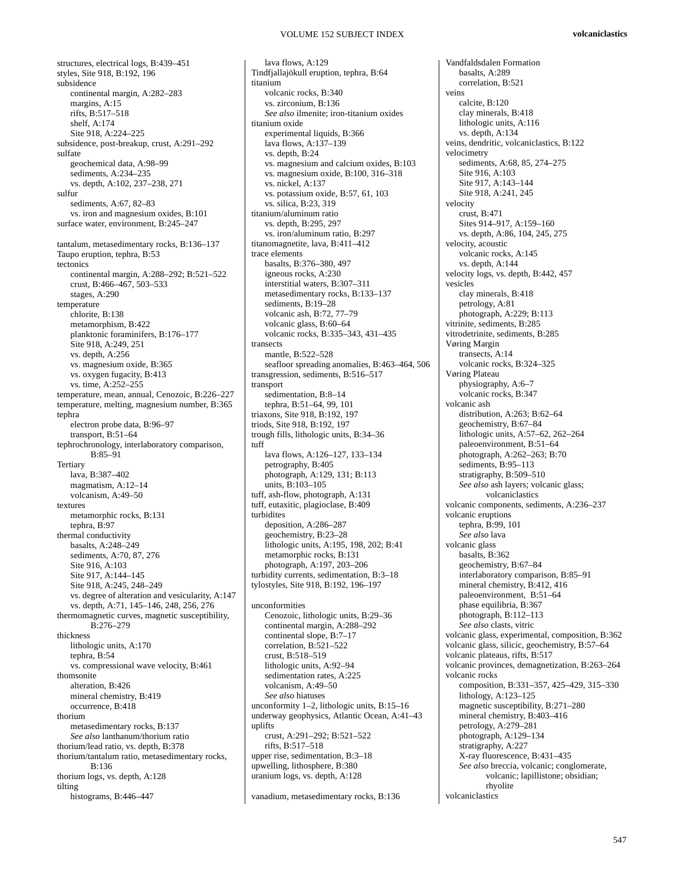structures, electrical logs, B:439–451 styles, Site 918, B:192, 196 subsidence continental margin, A:282–283 margins, A:15 rifts, B:517–518 shelf, A:174 Site 918, A:224–225 subsidence, post-breakup, crust, A:291–292 sulfate geochemical data, A:98–99 sediments, A:234–235 vs. depth, A:102, 237–238, 271 sulfur sediments, A:67, 82–83 vs. iron and magnesium oxides, B:101 surface water, environment, B:245–247 tantalum, metasedimentary rocks, B:136–137 Taupo eruption, tephra, B:53 tectonics continental margin, A:288–292; B:521–522 crust, B:466–467, 503–533 stages, A:290 temperature chlorite, B:138 metamorphism, B:422 planktonic foraminifers, B:176–177 Site 918, A:249, 251 vs. depth, A:256 vs. magnesium oxide, B:365 vs. oxygen fugacity, B:413 vs. time, A:252–255 temperature, mean, annual, Cenozoic, B:226–227 temperature, melting, magnesium number, B:365 tephra electron probe data, B:96–97 transport, B:51–64 tephrochronology, interlaboratory comparison, B:85–91 **Tertiary** lava, B:387–402 magmatism, A:12–14 volcanism, A:49–50 textures metamorphic rocks, B:131 tephra, B:97 thermal conductivity basalts, A:248–249 sediments, A:70, 87, 276 Site 916, A:103 Site 917, A:144–145 Site 918, A:245, 248–249 vs. degree of alteration and vesicularity, A:147 vs. depth, A:71, 145–146, 248, 256, 276 thermomagnetic curves, magnetic susceptibility, B:276–279 thickness lithologic units, A:170 tephra, B:54 vs. compressional wave velocity, B:461 thomsonite alteration, B:426 mineral chemistry, B:419 occurrence, B:418 thorium metasedimentary rocks, B:137 *See also* lanthanum/thorium ratio thorium/lead ratio, vs. depth, B:378 thorium/tantalum ratio, metasedimentary rocks, B:136 thorium logs, vs. depth, A:128 tilting histograms, B:446–447

lava flows, A:129 Tindfjallajökull eruption, tephra, B:64 titanium volcanic rocks, B:340 vs. zirconium, B:136 *See also* ilmenite; iron-titanium oxides titanium oxide experimental liquids, B:366 lava flows, A:137–139 vs. depth, B:24 vs. magnesium and calcium oxides, B:103 vs. magnesium oxide, B:100, 316–318 vs. nickel, A:137 vs. potassium oxide, B:57, 61, 103 vs. silica, B:23, 319 titanium/aluminum ratio vs. depth, B:295, 297 vs. iron/aluminum ratio, B:297 titanomagnetite, lava, B:411–412 trace elements basalts, B:376–380, 497 igneous rocks, A:230 interstitial waters, B:307–311 metasedimentary rocks, B:133–137 sediments, B:19–28 volcanic ash, B:72, 77–79 volcanic glass, B:60–64 volcanic rocks, B:335–343, 431–435 transects mantle, B:522–528 seafloor spreading anomalies, B:463–464, 506 transgression, sediments, B:516–517 transport sedimentation, B:8–14 tephra, B:51–64, 99, 101 triaxons, Site 918, B:192, 197 triods, Site 918, B:192, 197 trough fills, lithologic units, B:34–36 tuff lava flows, A:126–127, 133–134 petrography, B:405 photograph, A:129, 131; B:113 units, B:103–105 tuff, ash-flow, photograph, A:131 tuff, eutaxitic, plagioclase, B:409 turbidites deposition, A:286–287 geochemistry, B:23–28 lithologic units, A:195, 198, 202; B:41 metamorphic rocks, B:131 photograph, A:197, 203–206 turbidity currents, sedimentation, B:3–18 tylostyles, Site 918, B:192, 196–197 unconformities Cenozoic, lithologic units, B:29–36 continental margin, A:288–292 continental slope, B:7–17 correlation, B:521–522 crust, B:518–519 lithologic units, A:92–94 sedimentation rates, A:225 volcanism, A:49–50 *See also* hiatuses unconformity 1–2, lithologic units, B:15–16 underway geophysics, Atlantic Ocean, A:41–43 uplifts crust, A:291–292; B:521–522 rifts, B:517–518 upper rise, sedimentation, B:3–18 upwelling, lithosphere, B:380 uranium logs, vs. depth, A:128 vanadium, metasedimentary rocks, B:136

Vandfaldsdalen Formation basalts, A:289 correlation, B:521 veins calcite, B:120 clay minerals, B:418 lithologic units, A:116 vs. depth, A:134 veins, dendritic, volcaniclastics, B:122 velocimetry sediments, A:68, 85, 274–275 Site 916, A:103 Site 917, A:143–144 Site 918, A:241, 245 velocity  $crust$ , B $\cdot$ 471 Sites 914–917, A:159–160 vs. depth, A:86, 104, 245, 275 velocity, acoustic volcanic rocks, A:145 vs. depth, A:144 velocity logs, vs. depth, B:442, 457 vesicles clay minerals, B:418 petrology, A:81 photograph, A:229; B:113 vitrinite, sediments, B:285 vitrodetrinite, sediments, B:285 Vøring Margin transects, A:14 volcanic rocks, B:324–325 Vøring Plateau physiography, A:6–7 volcanic rocks, B:347 volcanic ash distribution, A:263; B:62–64 geochemistry, B:67–84 lithologic units, A:57–62, 262–264 paleoenvironment, B:51–64 photograph, A:262–263; B:70 sediments, B:95-113 stratigraphy, B:509–510 *See also* ash layers; volcanic glass; volcaniclastics volcanic components, sediments, A:236–237 volcanic eruptions tephra, B:99, 101 *See also* lava volcanic glass basalts, B:362 geochemistry, B:67–84 interlaboratory comparison, B:85–91 mineral chemistry, B:412, 416 paleoenvironment, B:51–64 phase equilibria, B:367 photograph, B:112–113 *See also* clasts, vitric volcanic glass, experimental, composition, B:362 volcanic glass, silicic, geochemistry, B:57–64 volcanic plateaus, rifts, B:517 volcanic provinces, demagnetization, B:263–264 volcanic rocks composition, B:331–357, 425–429, 315–330 lithology, A:123–125 magnetic susceptibility, B:271–280 mineral chemistry, B:403–416 petrology, A:279–281 photograph, A:129–134 stratigraphy, A:227 X-ray fluorescence, B:431–435 *See also* breccia, volcanic; conglomerate, volcanic; lapillistone; obsidian; rhyolite volcaniclastics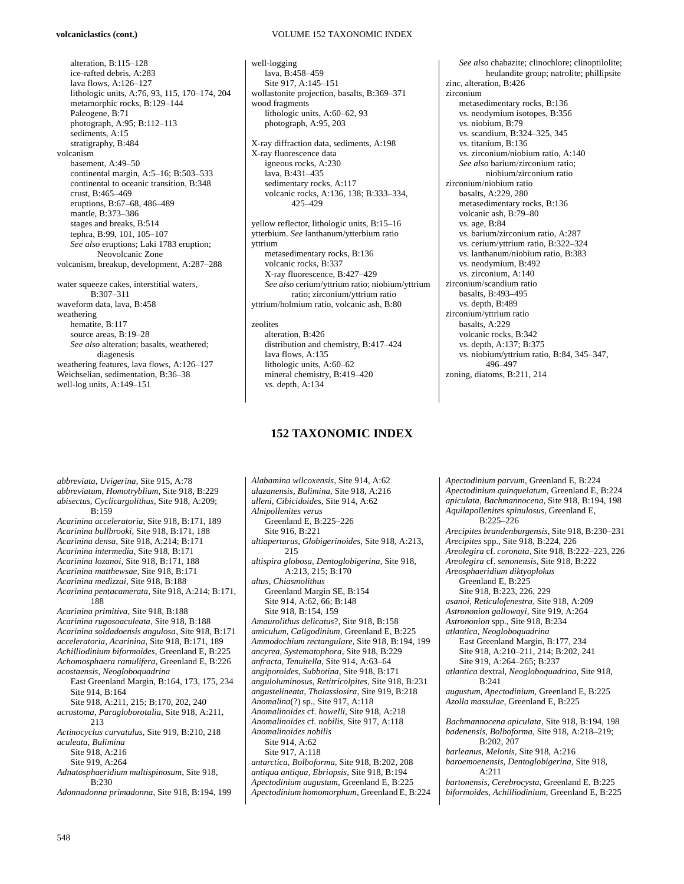## **volcaniclastics (cont.)**

alteration, B:115–128 ice-rafted debris, A:283 lava flows, A:126–127 lithologic units, A:76, 93, 115, 170–174, 204 metamorphic rocks, B:129–144 Paleogene, B:71 photograph, A:95; B:112–113 sediments, A:15 stratigraphy, B:484 volcanism basement, A:49–50 continental margin, A:5–16; B:503–533 continental to oceanic transition, B:348 crust, B:465–469 eruptions, B:67–68, 486–489 mantle, B:373–386 stages and breaks, B:514 tephra, B:99, 101, 105–107 *See also* eruptions; Laki 1783 eruption; Neovolcanic Zone volcanism, breakup, development, A:287–288 water squeeze cakes, interstitial waters, B:307–311 waveform data, lava, B:458 weathering hematite, B:117 source areas, B:19–28 *See also* alteration; basalts, weathered; diagenesis weathering features, lava flows, A:126–127 Weichselian, sedimentation, B:36–38 well-log units, A:149–151

*abbreviatum, Homotryblium*, Site 918, B:229 *abisectus, Cyclicargolithus*, Site 918, A:209;  $B.159$ *Acarinina acceleratoria*, Site 918, B:171, 189 *Acarinina bullbrooki*, Site 918, B:171, 188 *Acarinina densa*, Site 918, A:214; B:171 *Acarinina intermedia*, Site 918, B:171 *Acarinina lozanoi*, Site 918, B:171, 188 *Acarinina matthewsae*, Site 918, B:171 *Acarinina medizzai*, Site 918, B:188 *Acarinina pentacamerata*, Site 918, A:214; B:171, 188 *Acarinina primitiva*, Site 918, B:188 *Acarinina rugosoaculeata*, Site 918, B:188 *Acarinina soldadoensis angulosa*, Site 918, B:171 *acceleratoria, Acarinina*, Site 918, B:171, 189 *Achilliodinium biformoides*, Greenland E, B:225 *Achomosphaera ramulifera*, Greenland E, B:226 *acostaensis, Neogloboquadrina* East Greenland Margin, B:164, 173, 175, 234 Site 914, B:164 Site 918, A:211, 215; B:170, 202, 240 *acrostoma, Paragloborotalia*, Site 918, A:211, 213 *Actinocyclus curvatulus*, Site 919, B:210, 218 *aculeata, Bulimina*  Site 918, A:216 Site 919, A:264 *Adnatosphaeridium multispinosum*, Site 918,  $B:230$ *Adonnadonna primadonna*, Site 918, B:194, 199

*abbreviata, Uvigerina*, Site 915, A:78

# VOLUME 152 TAXONOMIC INDEX

well-logging lava, B:458–459 Site 917, A:145–151 wollastonite projection, basalts, B:369–371 wood fragments lithologic units, A:60–62, 93 photograph, A:95, 203

X-ray diffraction data, sediments, A:198 X-ray fluorescence data igneous rocks, A:230 lava, B:431–435 sedimentary rocks, A:117 volcanic rocks, A:136, 138; B:333–334, 425–429

yellow reflector, lithologic units, B:15–16 ytterbium. *See* lanthanum/ytterbium ratio yttrium metasedimentary rocks, B:136 volcanic rocks, B:337 X-ray fluorescence, B:427–429 *See also* cerium/yttrium ratio; niobium/yttrium ratio; zirconium/yttrium ratio yttrium/holmium ratio, volcanic ash, B:80

#### zeolites

alteration, B:426 distribution and chemistry, B:417–424 lava flows, A:135 lithologic units, A:60–62 mineral chemistry, B:419–420 vs. depth, A:134

# **152 TAXONOMIC INDEX**

*Alabamina wilcoxensis*, Site 914, A:62 *alazanensis, Bulimina*, Site 918, A:216 *alleni, Cibicidoides*, Site 914, A:62 *Alnipollenites verus*  Greenland E, B:225–226 Site 916, B:221 *altiaperturus, Globigerinoides*, Site 918, A:213, 215 *altispira globosa, Dentoglobigerina*, Site 918, A:213, 215; B:170 *altus, Chiasmolithus*  Greenland Margin SE, B:154 Site 914, A:62, 66; B:148 Site 918, B:154, 159 *Amaurolithus delicatus*?, Site 918, B:158 *amiculum, Caligodinium*, Greenland E, B:225 *Ammodochium rectangulare,* Site 918, B:194, 199 *ancyrea, Systematophora*, Site 918, B:229 *anfracta, Tenuitella*, Site 914, A:63–64 *angiporoides, Subbotina*, Site 918, B:171 *anguloluminosus, Retitricolpites*, Site 918, B:231 *angustelineata, Thalassiosira*, Site 919, B:218 *Anomalina*(?) sp., Site 917, A:118 *Anomalinoides* cf. *howelli*, Site 918, A:218 *Anomalinoides* cf. *nobilis*, Site 917, A:118 *Anomalinoides nobilis*  Site 914, A:62 Site 917, A:118 *antarctica, Bolboforma*, Site 918, B:202, 208 *antiqua antiqua, Ebriopsis*, Site 918, B:194 *Apectodinium augustum*, Greenland E, B:225 *Apectodinium homomorphum*, Greenland E, B:224

*See also* chabazite; clinochlore; clinoptilolite; heulandite group; natrolite; phillipsite zinc, alteration, B:426 zirconium metasedimentary rocks, B:136 vs. neodymium isotopes, B:356 vs. niobium, B:79 vs. scandium, B:324–325, 345 vs. titanium, B:136 vs. zirconium/niobium ratio, A:140 *See also* barium/zirconium ratio; niobium/zirconium ratio zirconium/niobium ratio basalts, A:229, 280 metasedimentary rocks, B:136 volcanic ash, B:79–80 vs. age, B:84 vs. barium/zirconium ratio, A:287 vs. cerium/yttrium ratio, B:322–324 vs. lanthanum/niobium ratio, B:383 vs. neodymium, B:492 vs. zirconium, A:140 zirconium/scandium ratio basalts, B:493–495 vs. depth, B:489 zirconium/yttrium ratio basalts, A:229 volcanic rocks, B:342 vs. depth, A:137; B:375 vs. niobium/yttrium ratio, B:84, 345–347, 496–497 zoning, diatoms, B:211, 214

*Apectodinium parvum*, Greenland E, B:224 *Apectodinium quinquelatum*, Greenland E, B:224 *apiculata, Bachmannocena*, Site 918, B:194, 198 *Aquilapollenites spinulosus*, Greenland E, B:225–226 *Arecipites brandenburgensis*, Site 918, B:230–231 *Arecipites* spp., Site 918, B:224, 226 *Areolegira* cf. *coronata*, Site 918, B:222–223, 226 *Areolegira* cf. *senonensis*, Site 918, B:222 *Areosphaeridium diktyoplokus*  Greenland E, B:225 Site 918, B:223, 226, 229 *asanoi, Reticulofenestra*, Site 918, A:209 *Astrononion gallowayi*, Site 919, A:264 *Astrononion* spp., Site 918, B:234 *atlantica, Neogloboquadrina*  East Greenland Margin, B:177, 234 Site 918, A:210–211, 214; B:202, 241 Site 919, A:264–265; B:237 *atlantica* dextral*, Neogloboquadrina*, Site 918,  $B:241$ *augustum, Apectodinium*, Greenland E, B:225 *Azolla massulae*, Greenland E, B:225 *Bachmannocena apiculata*, Site 918, B:194, 198 *badenensis, Bolboforma*, Site 918, A:218–219; B:202, 207 *barleanus, Melonis,* Site 918, A:216 *baroemoenensis, Dentoglobigerina*, Site 918, A:211 *bartonensis, Cerebrocysta,* Greenland E, B:225 *biformoides, Achilliodinium*, Greenland E, B:225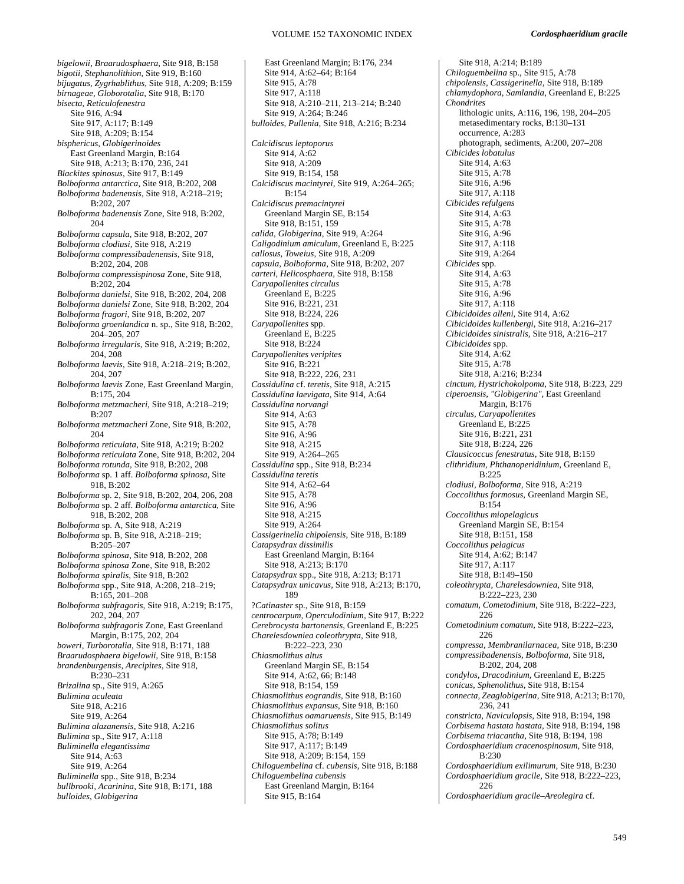*bigelowii, Braarudosphaera*, Site 918, B:158 *bigotii, Stephanolithion,* Site 919, B:160 *bijugatus, Zygrhablithus,* Site 918, A:209; B:159 *birnageae, Globorotalia*, Site 918, B:170 *bisecta, Reticulofenestra*  Site 916, A:94 Site 917, A:117; B:149 Site 918, A:209; B:154 *bisphericus, Globigerinoides* East Greenland Margin, B:164 Site 918, A:213; B:170, 236, 241 *Blackites spinosus*, Site 917, B:149 *Bolboforma antarctica,* Site 918, B:202, 208 *Bolboforma badenensis*, Site 918, A:218–219; B:202, 207 *Bolboforma badenensis* Zone, Site 918, B:202, 204 *Bolboforma capsula*, Site 918, B:202, 207 *Bolboforma clodiusi,* Site 918, A:219 *Bolboforma compressibadenensis*, Site 918, B:202, 204, 208 *Bolboforma compressispinosa* Zone, Site 918, B:202, 204 *Bolboforma danielsi*, Site 918, B:202, 204, 208 *Bolboforma danielsi* Zone, Site 918, B:202, 204 *Bolboforma fragori*, Site 918, B:202, 207 *Bolboforma groenlandica* n. sp., Site 918, B:202, 204–205, 207 *Bolboforma irregularis*, Site 918, A:219; B:202, 204, 208 *Bolboforma laevis*, Site 918, A:218–219; B:202, 204, 207 *Bolboforma laevis* Zone, East Greenland Margin, B:175, 204 *Bolboforma metzmacheri*, Site 918, A:218–219;  $B:207$ *Bolboforma metzmacheri* Zone, Site 918, B:202, 204 *Bolboforma reticulata*, Site 918, A:219; B:202 *Bolboforma reticulata* Zone, Site 918, B:202, 204 *Bolboforma rotunda,* Site 918, B:202, 208 *Bolboforma* sp. 1 aff. *Bolboforma spinosa*, Site 918, B:202 *Bolboforma* sp. 2, Site 918, B:202, 204, 206, 208 *Bolboforma* sp. 2 aff. *Bolboforma antarctica*, Site 918, B:202, 208 *Bolboforma* sp. A, Site 918, A:219 *Bolboforma* sp. B, Site 918, A:218–219; B:205–207 *Bolboforma spinosa*, Site 918, B:202, 208 *Bolboforma spinosa* Zone, Site 918, B:202 *Bolboforma spiralis*, Site 918, B:202 *Bolboforma* spp., Site 918, A:208, 218–219; B:165, 201–208 *Bolboforma subfragoris,* Site 918, A:219; B:175, 202, 204, 207 *Bolboforma subfragoris* Zone, East Greenland Margin, B:175, 202, 204 *boweri, Turborotalia,* Site 918, B:171, 188 *Braarudosphaera bigelowii,* Site 918, B:158 *brandenburgensis, Arecipites*, Site 918, B:230–231 *Brizalina* sp., Site 919, A:265 *Bulimina aculeata* Site 918, A:216 Site 919, A:264 *Bulimina alazanensis*, Site 918, A:216 *Bulimina* sp., Site 917, A:118 *Buliminella elegantissima*  Site 914, A:63 Site 919, A:264 *Buliminella* spp., Site 918, B:234 *bullbrooki, Acarinina*, Site 918, B:171, 188 *bulloides, Globigerina* 

East Greenland Margin; B:176, 234 Site 914, A:62–64; B:164 Site 915, A:78 Site 917, A:118 Site 918, A:210–211, 213–214; B:240 Site 919, A:264; B:246 *bulloides, Pullenia,* Site 918, A:216; B:234 *Calcidiscus leptoporus* Site 914, A:62 Site 918, A:209 Site 919, B:154, 158 *Calcidiscus macintyrei*, Site 919, A:264–265; B:154 *Calcidiscus premacintyrei*  Greenland Margin SE, B:154 Site 918, B:151, 159 *calida, Globigerina*, Site 919, A:264 *Caligodinium amiculum*, Greenland E, B:225 *callosus, Toweius*, Site 918, A:209 *capsula, Bolboforma*, Site 918, B:202, 207 *carteri, Helicosphaera*, Site 918, B:158 *Caryapollenites circulus*  Greenland E, B:225 Site 916, B:221, 231 Site 918, B:224, 226 *Caryapollenites* spp. Greenland E, B:225 Site 918, B:224 *Caryapollenites veripites*  Site 916, B:221 Site 918, B:222, 226, 231 *Cassidulina* cf. *teretis*, Site 918, A:215 *Cassidulina laevigata,* Site 914, A:64 *Cassidulina norvangi* Site 914, A:63 Site 915, A:78 Site 916, A:96 Site 918, A:215 Site 919, A:264–265 *Cassidulina* spp., Site 918, B:234 *Cassidulina teretis*  Site 914, A:62–64 Site 915, A:78 Site 916, A:96 Site 918, A:215 Site 919, A:264 *Cassigerinella chipolensis*, Site 918, B:189 *Catapsydrax dissimilis*  East Greenland Margin, B:164 Site 918, A:213; B:170 *Catapsydrax* spp., Site 918, A:213; B:171 *Catapsydrax unicavus,* Site 918, A:213; B:170, 189 ?*Catinaster* sp., Site 918, B:159 *centrocarpum, Operculodinium*, Site 917, B:222 *Cerebrocysta bartonensis*, Greenland E, B:225 *Charelesdowniea coleothrypta,* Site 918, B:222–223, 230 *Chiasmolithus altus*  Greenland Margin SE, B:154 Site 914, A:62, 66; B:148 Site 918, B:154, 159 *Chiasmolithus eograndis*, Site 918, B:160 *Chiasmolithus expansus*, Site 918, B:160 *Chiasmolithus oamaruensis*, Site 915, B:149 *Chiasmolithus solitus*  Site 915, A:78; B:149 Site 917, A:117; B:149 Site 918, A:209; B:154, 159 *Chiloguembelina* cf. *cubensis,* Site 918, B:188 *Chiloguembelina cubensis*  East Greenland Margin, B:164 Site 915, B:164

Site 918, A:214; B:189 *Chiloguembelina* sp., Site 915, A:78 *chipolensis, Cassigerinella,* Site 918, B:189 *chlamydophora, Samlandia*, Greenland E, B:225 *Chondrites*  lithologic units, A:116, 196, 198, 204–205 metasedimentary rocks, B:130–131 occurrence, A:283 photograph, sediments, A:200, 207–208 *Cibicides lobatulus* Site 914, A:63 Site 915, A:78 Site 916, A:96 Site 917, A:118 *Cibicides refulgens* Site 914, A:63 Site 915, A:78 Site 916, A:96 Site 917, A:118 Site 919, A:264 *Cibicides* spp. Site 914, A:63 Site 915, A:78 Site 916, A:96 Site 917, A:118 *Cibicidoides alleni*, Site 914, A:62 *Cibicidoides kullenbergi*, Site 918, A:216–217 *Cibicidoides sinistralis,* Site 918, A:216–217 *Cibicidoides* spp. Site 914, A:62 Site 915, A:78 Site 918, A:216; B:234 *cinctum, Hystrichokolpoma*, Site 918, B:223, 229 *ciperoensis, "Globigerina"*, East Greenland Margin, B:176 *circulus, Caryapollenites*  Greenland E, B:225 Site 916, B:221, 231 Site 918, B:224, 226 *Clausicoccus fenestratus*, Site 918, B:159 *clithridium, Phthanoperidinium,* Greenland E, B:225 *clodiusi, Bolboforma*, Site 918, A:219 *Coccolithus formosus,* Greenland Margin SE, B:154 *Coccolithus miopelagicus*  Greenland Margin SE, B:154 Site 918, B:151, 158 *Coccolithus pelagicus*  Site 914, A:62; B:147 Site 917, A:117 Site 918, B:149–150 *coleothrypta, Charelesdowniea*, Site 918, B:222–223, 230 *comatum, Cometodinium,* Site 918, B:222–223, 226 *Cometodinium comatum*, Site 918, B:222–223, 226 *compressa, Membranilarnacea*, Site 918, B:230 *compressibadenensis, Bolboforma,* Site 918, B:202, 204, 208 *condylos, Dracodinium,* Greenland E, B:225 *conicus, Sphenolithus,* Site 918, B:154 *connecta, Zeaglobigerina*, Site 918, A:213; B:170, 236, 241 *constricta, Naviculopsis,* Site 918, B:194, 198 *Corbisema hastata hastata,* Site 918, B:194, 198 *Corbisema triacantha*, Site 918, B:194, 198 *Cordosphaeridium cracenospinosum,* Site 918,  $B.230$ *Cordosphaeridium exilimurum,* Site 918, B:230 *Cordosphaeridium gracile,* Site 918, B:222–223, 226 *Cordosphaeridium gracile–Areolegira* cf.

549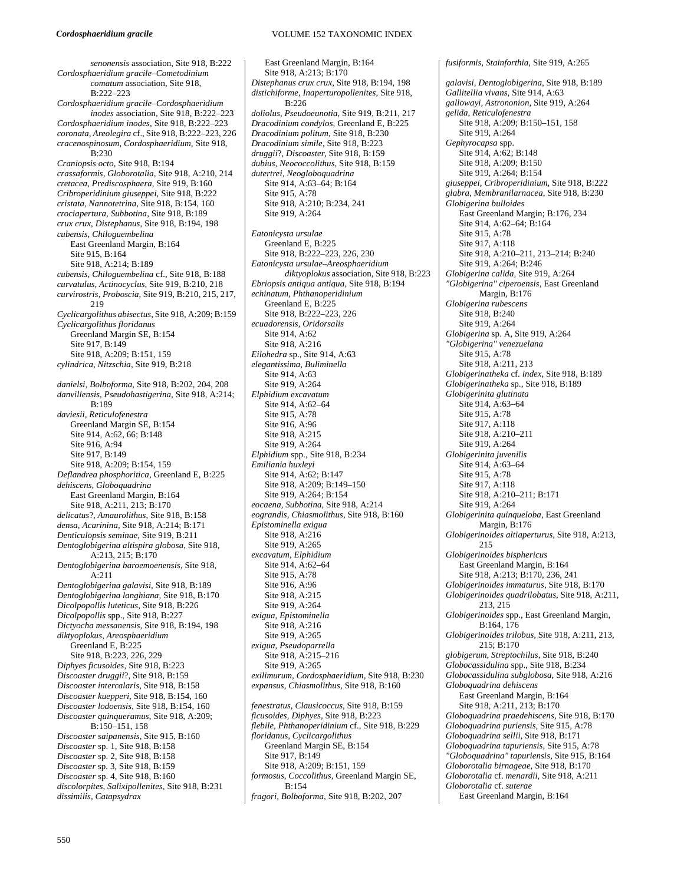*senonensis* association, Site 918, B:222 *Cordosphaeridium gracile–Cometodinium comatum* association, Site 918, B:222–223 *Cordosphaeridium gracile–Cordosphaeridium inodes* association, Site 918, B:222–223 *Cordosphaeridium inodes*, Site 918, B:222–223 *coronata, Areolegira* cf., Site 918, B:222–223, 226 *cracenospinosum, Cordosphaeridium,* Site 918, B:230 *Craniopsis octo,* Site 918, B:194 *crassaformis, Globorotalia,* Site 918, A:210, 214 *cretacea, Prediscosphaera,* Site 919, B:160 *Cribroperidinium giuseppei*, Site 918, B:222 *cristata, Nannotetrina*, Site 918, B:154, 160 *crociapertura, Subbotina*, Site 918, B:189 *crux crux, Distephanus*, Site 918, B:194, 198 *cubensis, Chiloguembelina*  East Greenland Margin, B:164 Site 915, B:164 Site 918, A:214; B:189 *cubensis, Chiloguembelina* cf., Site 918, B:188 *curvatulus, Actinocyclus,* Site 919, B:210, 218 *curvirostris, Proboscia,* Site 919, B:210, 215, 217, 219 *Cyclicargolithus abisectus*, Site 918, A:209; B:159 *Cyclicargolithus floridanus* Greenland Margin SE, B:154 Site 917, B:149 Site 918, A:209; B:151, 159 *cylindrica, Nitzschia*, Site 919, B:218 *danielsi, Bolboforma,* Site 918, B:202, 204, 208 *danvillensis, Pseudohastigerina*, Site 918, A:214; B:189 *daviesii, Reticulofenestra* Greenland Margin SE, B:154 Site 914, A:62, 66; B:148 Site 916, A:94 Site 917, B:149 Site 918, A:209; B:154, 159 *Deflandrea phosphoritica*, Greenland E, B:225 *dehiscens, Globoquadrina*  East Greenland Margin, B:164 Site 918, A:211, 213; B:170 *delicatus*?*, Amaurolithus*, Site 918, B:158 *densa, Acarinina*, Site 918, A:214; B:171 *Denticulopsis seminae*, Site 919, B:211 *Dentoglobigerina altispira globosa*, Site 918, A:213, 215; B:170 *Dentoglobigerina baroemoenensis*, Site 918,  $A:211$ *Dentoglobigerina galavisi*, Site 918, B:189 *Dentoglobigerina langhiana,* Site 918, B:170 *Dicolpopollis luteticus*, Site 918, B:226 *Dicolpopollis* spp., Site 918, B:227 *Dictyocha messanensis*, Site 918, B:194, 198 *diktyoplokus*, *Areosphaeridium* Greenland E, B:225 Site 918, B:223, 226, 229 *Diphyes ficusoides*, Site 918, B:223 *Discoaster druggii*?, Site 918, B:159 *Discoaster intercalaris*, Site 918, B:158 *Discoaster kuepperi*, Site 918, B:154, 160 *Discoaster lodoensis*, Site 918, B:154, 160 *Discoaster quinqueramus*, Site 918, A:209; B:150–151, 158 *Discoaster saipanensis*, Site 915, B:160 *Discoaster* sp. 1, Site 918, B:158 *Discoaster* sp. 2, Site 918, B:158 *Discoaster* sp. 3, Site 918, B:159 *Discoaster* sp. 4, Site 918, B:160 *discolorpites, Salixipollenites*, Site 918, B:231 *dissimilis, Catapsydrax* 

East Greenland Margin, B:164 Site 918, A:213; B:170 *Distephanus crux crux*, Site 918, B:194, 198 *distichiforme, Inaperturopollenites*, Site 918, B:226 *doliolus, Pseudoeunotia,* Site 919, B:211, 217 *Dracodinium condylos,* Greenland E, B:225 *Dracodinium politum,* Site 918, B:230 *Dracodinium simile*, Site 918, B:223 *druggii*?*, Discoaster*, Site 918, B:159 *dubius, Neococcolithus*, Site 918, B:159 *dutertrei, Neogloboquadrina*  Site 914, A:63–64; B:164 Site 915, A:78 Site 918, A:210; B:234, 241 Site 919, A:264 *Eatonicysta ursulae*  Greenland E, B:225 Site 918, B:222–223, 226, 230 *Eatonicysta ursulae–Areosphaeridium diktyoplokus* association, Site 918, B:223 *Ebriopsis antiqua antiqua*, Site 918, B:194 *echinatum, Phthanoperidinium*  Greenland E, B:225 Site 918, B:222–223, 226 *ecuadorensis, Oridorsalis*  Site 914, A:62 Site 918, A:216 *Eilohedra* sp., Site 914, A:63 *elegantissima, Buliminella*  Site 914, A:63 Site 919, A:264 *Elphidium excavatum*  Site 914, A:62–64 Site 915, A:78 Site 916, A:96 Site 918, A:215 Site 919, A:264 *Elphidium* spp., Site 918, B:234 *Emiliania huxleyi* Site 914, A:62; B:147 Site 918, A:209; B:149–150 Site 919, A:264; B:154 *eocaena, Subbotina,* Site 918, A:214 *eograndis, Chiasmolithus*, Site 918, B:160 *Epistominella exigua*  Site 918, A:216 Site 919, A:265 *excavatum, Elphidium*  Site 914, A:62–64 Site 915, A:78 Site 916, A:96 Site 918, A:215 Site 919, A:264 *exigua, Epistominella*  Site 918, A:216 Site 919, A:265 *exigua, Pseudoparrella*  Site 918, A:215–216 Site 919, A:265 *exilimurum, Cordosphaeridium,* Site 918, B:230 *expansus, Chiasmolithus*, Site 918, B:160 *fenestratus, Clausicoccus*, Site 918, B:159 *ficusoides, Diphyes*, Site 918, B:223 *flebile, Phthanoperidinium* cf., Site 918, B:229 *floridanus, Cyclicargolithus*  Greenland Margin SE, B:154 Site 917, B:149 Site 918, A:209; B:151, 159 *formosus, Coccolithus,* Greenland Margin SE, B:154

*fragori, Bolboforma,* Site 918, B:202, 207

*fusiformis, Stainforthia*, Site 919, A:265 *galavisi, Dentoglobigerina*, Site 918, B:189 *Gallitellia vivans,* Site 914, A:63 *gallowayi, Astrononion*, Site 919, A:264 *gelida, Reticulofenestra*  Site 918, A:209; B:150–151, 158 Site 919, A:264 *Gephyrocapsa* spp. Site 914, A:62; B:148 Site 918, A:209; B:150 Site 919, A:264; B:154 *giuseppei, Cribroperidinium*, Site 918, B:222 *glabra, Membranilarnacea*, Site 918, B:230 *Globigerina bulloides*  East Greenland Margin; B:176, 234 Site 914, A:62–64; B:164 Site 915, A:78 Site 917, A:118 Site 918, A:210–211, 213–214; B:240 Site 919, A:264; B:246 *Globigerina calida*, Site 919, A:264 *"Globigerina" ciperoensis*, East Greenland Margin, B:176 *Globigerina rubescens* Site 918, B:240 Site 919, A:264 *Globigerina* sp. A, Site 919, A:264 *"Globigerina" venezuelana* Site 915, A:78 Site 918, A:211, 213 *Globigerinatheka* cf. *index*, Site 918, B:189 *Globigerinatheka* sp., Site 918, B:189 *Globigerinita glutinata*  Site 914, A:63–64 Site 915, A:78 Site 917, A:118 Site 918, A:210–211 Site 919, A:264 *Globigerinita juvenilis*  Site 914, A:63–64 Site 915, A:78 Site 917, A:118 Site 918, A:210–211; B:171 Site 919, A:264 *Globigerinita quinqueloba*, East Greenland Margin, B:176 *Globigerinoides altiaperturus*, Site 918, A:213, 215 *Globigerinoides bisphericus*  East Greenland Margin, B:164 Site 918, A:213; B:170, 236, 241 *Globigerinoides immaturus*, Site 918, B:170 *Globigerinoides quadrilobatus*, Site 918, A:211, 213, 215 *Globigerinoides* spp., East Greenland Margin, B:164, 176 *Globigerinoides trilobus,* Site 918, A:211, 213, 215; B:170 *globigerum, Streptochilus,* Site 918, B:240 *Globocassidulina* spp., Site 918, B:234 *Globocassidulina subglobosa*, Site 918, A:216 *Globoquadrina dehiscens*  East Greenland Margin, B:164 Site 918, A:211, 213; B:170 *Globoquadrina praedehiscens,* Site 918, B:170 *Globoquadrina puriensis*, Site 915, A:78 *Globoquadrina sellii,* Site 918, B:171 *Globoquadrina tapuriensis*, Site 915, A:78 *"Globoquadrina" tapuriensis*, Site 915, B:164 *Globorotalia birnageae*, Site 918, B:170 *Globorotalia* cf. *menardii*, Site 918, A:211 *Globorotalia* cf. *suterae*  East Greenland Margin, B:164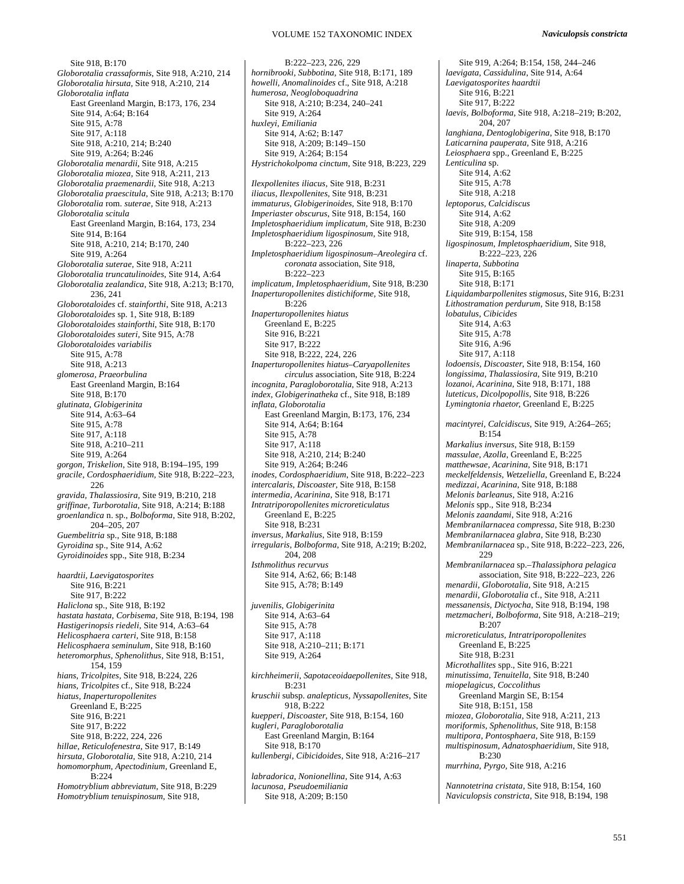Site 918, B:170 *Globorotalia crassaformis*, Site 918, A:210, 214 *Globorotalia hirsuta,* Site 918, A:210, 214 *Globorotalia inflata* East Greenland Margin, B:173, 176, 234 Site 914, A:64; B:164 Site 915, A:78 Site 917, A:118 Site 918, A:210, 214; B:240 Site 919, A:264; B:246 *Globorotalia menardii*, Site 918, A:215 *Globorotalia miozea,* Site 918, A:211, 213 *Globorotalia praemenardii*, Site 918, A:213 *Globorotalia praescitula,* Site 918, A:213; B:170 *Globorotalia* rom. *suterae,* Site 918, A:213 *Globorotalia scitula*  East Greenland Margin, B:164, 173, 234 Site 914, B:164 Site 918, A:210, 214; B:170, 240 Site 919, A:264 *Globorotalia suterae,* Site 918, A:211 *Globorotalia truncatulinoides,* Site 914, A:64 *Globorotalia zealandica*, Site 918, A:213; B:170, 236, 241 *Globorotaloides* cf. *stainforthi*, Site 918, A:213 *Globorotaloides* sp. 1, Site 918, B:189 *Globorotaloides stainforthi*, Site 918, B:170 *Globorotaloides suteri,* Site 915, A:78 *Globorotaloides variabilis*  Site 915, A:78 Site 918, A:213 *glomerosa, Praeorbulina*  East Greenland Margin, B:164 Site 918, B:170 *glutinata, Globigerinita*  Site 914, A:63–64 Site 915, A:78 Site 917, A:118 Site 918, A:210–211 Site 919, A:264 *gorgon, Triskelion*, Site 918, B:194–195, 199 *gracile, Cordosphaeridium,* Site 918, B:222–223, 226 *gravida, Thalassiosira,* Site 919, B:210, 218 *griffinae, Turborotalia,* Site 918, A:214; B:188 *groenlandica* n. sp., *Bolboforma*, Site 918, B:202, 204–205, 207 *Guembelitria* sp., Site 918, B:188 *Gyroidina* sp., Site 914, A:62 *Gyroidinoides* spp., Site 918, B:234 *haardtii, Laevigatosporites* Site 916, B:221 Site 917, B:222 *Haliclona* sp., Site 918, B:192 *hastata hastata, Corbisema,* Site 918, B:194, 198 *Hastigerinopsis riedeli*, Site 914, A:63–64 *Helicosphaera carteri,* Site 918, B:158 *Helicosphaera seminulum*, Site 918, B:160 *heteromorphus, Sphenolithus*, Site 918, B:151, 154, 159 *hians, Tricolpites*, Site 918, B:224, 226 *hians, Tricolpites* cf., Site 918, B:224 *hiatus, Inaperturopollenites*  Greenland E, B:225 Site 916, B:221 Site 917, B:222 Site 918, B:222, 224, 226 *hillae, Reticulofenestra*, Site 917, B:149 *hirsuta, Globorotalia,* Site 918, A:210, 214 *homomorphum, Apectodinium,* Greenland E,  $B:224$ *Homotryblium abbreviatum*, Site 918, B:229 *Homotryblium tenuispinosum,* Site 918,

B:222–223, 226, 229 *hornibrooki, Subbotina,* Site 918, B:171, 189 *howelli, Anomalinoides* cf., Site 918, A:218 *humerosa, Neogloboquadrina*  Site 918, A:210; B:234, 240–241 Site 919, A:264 *huxleyi, Emiliania*  Site 914, A:62; B:147 Site 918, A:209; B:149–150 Site 919, A:264; B:154 *Hystrichokolpoma cinctum*, Site 918, B:223, 229 *Ilexpollenites iliacus*, Site 918, B:231 *iliacus, Ilexpollenites*, Site 918, B:231 *immaturus, Globigerinoides,* Site 918, B:170 *Imperiaster obscurus*, Site 918, B:154, 160 *Impletosphaeridium implicatum,* Site 918, B:230 *Impletosphaeridium ligospinosum,* Site 918, B:222–223, 226 *Impletosphaeridium ligospinosum–Areolegira* cf. *coronata* association, Site 918, B:222–223 *implicatum, Impletosphaeridium,* Site 918, B:230 *Inaperturopollenites distichiforme,* Site 918, B:226 *Inaperturopollenites hiatus*  Greenland E, B:225 Site 916, B:221 Site 917, B:222 Site 918, B:222, 224, 226 *Inaperturopollenites hiatus–Caryapollenites circulus* association, Site 918, B:224 *incognita, Paragloborotalia*, Site 918, A:213 *index, Globigerinatheka* cf., Site 918, B:189 *inflata, Globorotalia*  East Greenland Margin, B:173, 176, 234 Site 914, A:64; B:164 Site 915, A:78 Site 917, A:118 Site 918, A:210, 214; B:240 Site 919, A:264; B:246 *inodes, Cordosphaeridium*, Site 918, B:222–223 *intercalaris, Discoaster*, Site 918, B:158 *intermedia, Acarinina*, Site 918, B:171 *Intratriporopollenites microreticulatus* Greenland E, B:225 Site 918, B:231 *inversus, Markalius*, Site 918, B:159 *irregularis, Bolboforma*, Site 918, A:219; B:202, 204, 208 *Isthmolithus recurvus* Site 914, A:62, 66; B:148 Site 915, A:78; B:149 *juvenilis*, *Globigerinita* Site 914, A:63–64 Site 915, A:78 Site 917, A:118 Site 918, A:210–211; B:171 Site 919, A:264 *kirchheimerii, Sapotaceoidaepollenites*, Site 918, B:231 *kruschii* subsp. *analepticus, Nyssapollenites*, Site 918, B:222 *kuepperi, Discoaster*, Site 918, B:154, 160 *kugleri, Paragloborotalia*  East Greenland Margin, B:164 Site 918, B:170 *kullenbergi, Cibicidoides*, Site 918, A:216–217 *labradorica, Nonionellina,* Site 914, A:63 *lacunosa, Pseudoemiliania*  Site 918, A:209; B:150

Site 919, A:264; B:154, 158, 244–246 *laevigata, Cassidulina*, Site 914, A:64 *Laevigatosporites haardtii*  Site 916, B:221 Site 917, B:222 *laevis, Bolboforma,* Site 918, A:218–219; B:202, 204, 207 *langhiana, Dentoglobigerina*, Site 918, B:170 *Laticarnina pauperata,* Site 918, A:216 *Leiosphaera* spp., Greenland E, B:225 *Lenticulina* sp. Site 914, A:62 Site 915, A:78 Site 918, A:218 *leptoporus, Calcidiscus*  Site 914, A:62 Site 918, A:209 Site 919, B:154, 158 *ligospinosum, Impletosphaeridium*, Site 918, B:222–223, 226 *linaperta, Subbotina*  Site 915, B:165 Site 918, B:171 *Liquidambarpollenites stigmosus*, Site 916, B:231 *Lithostramation perdurum*, Site 918, B:158 *lobatulus, Cibicides*  Site 914, A:63 Site 915, A:78 Site 916, A:96 Site 917, A:118 *lodoensis, Discoaster*, Site 918, B:154, 160 *longissima, Thalassiosira*, Site 919, B:210 *lozanoi, Acarinina,* Site 918, B:171, 188 *luteticus, Dicolpopollis*, Site 918, B:226 *Lymingtonia rhaetor,* Greenland E, B:225 *macintyrei, Calcidiscus,* Site 919, A:264–265; B:154 *Markalius inversus*, Site 918, B:159 *massulae, Azolla*, Greenland E, B:225 *matthewsae, Acarinina,* Site 918, B:171 *meckelfeldensis, Wetzeliella,* Greenland E, B:224 *medizzai, Acarinina*, Site 918, B:188 *Melonis barleanus,* Site 918, A:216 *Melonis* spp., Site 918, B:234 *Melonis zaandami*, Site 918, A:216 *Membranilarnacea compressa*, Site 918, B:230 *Membranilarnacea glabra*, Site 918, B:230 *Membranilarnacea* sp., Site 918, B:222–223, 226,  $229$ *Membranilarnacea* sp.–*Thalassiphora pelagica* association, Site 918, B:222–223, 226 *menardii, Globorotalia*, Site 918, A:215 *menardii, Globorotalia* cf., Site 918, A:211 *messanensis, Dictyocha*, Site 918, B:194, 198 *metzmacheri, Bolboforma*, Site 918, A:218–219;  $B.207$ *microreticulatus, Intratriporopollenites*  Greenland E, B:225 Site 918, B:231 *Microthallites* spp., Site 916, B:221 *minutissima, Tenuitella,* Site 918, B:240 *miopelagicus, Coccolithus*  Greenland Margin SE, B:154 Site 918, B:151, 158 *miozea, Globorotalia,* Site 918, A:211, 213 *moriformis, Sphenolithus,* Site 918, B:158 *multipora, Pontosphaera,* Site 918, B:159 *multispinosum, Adnatosphaeridium*, Site 918, B:230 *murrhina, Pyrgo,* Site 918, A:216

*Nannotetrina cristata*, Site 918, B:154, 160 *Naviculopsis constricta*, Site 918, B:194, 198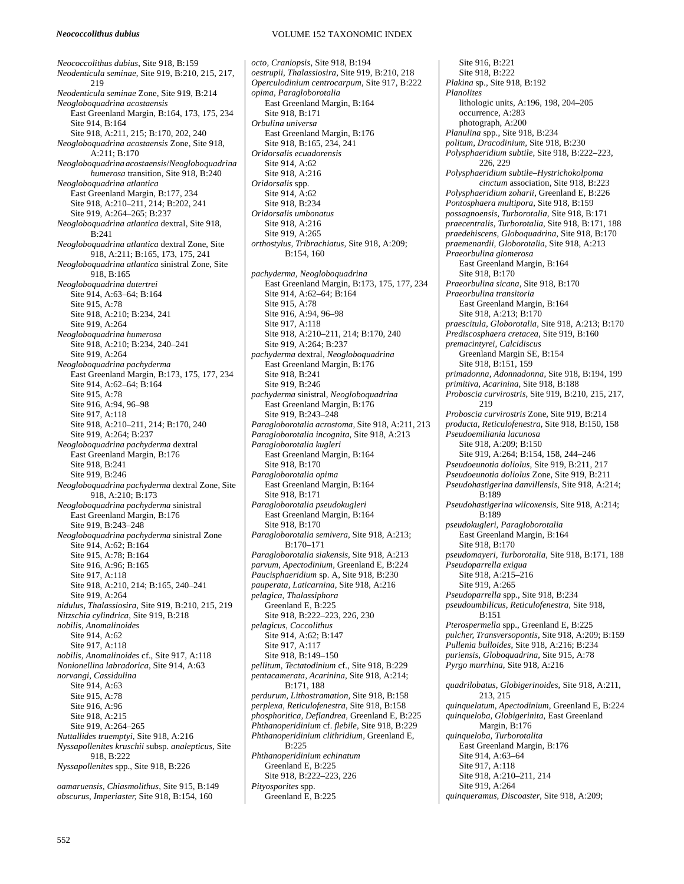#### *Neococcolithus dubius*

VOLUME 152 TAXONOMIC INDEX

*Neococcolithus dubius*, Site 918, B:159 *Neodenticula seminae,* Site 919, B:210, 215, 217, 219 *Neodenticula seminae* Zone, Site 919, B:214 *Neogloboquadrina acostaensis* East Greenland Margin, B:164, 173, 175, 234 Site 914, B:164 Site 918, A:211, 215; B:170, 202, 240 *Neogloboquadrina acostaensis* Zone, Site 918, A:211; B:170 *Neogloboquadrina acostaensis*/*Neogloboquadrina humerosa* transition, Site 918, B:240 *Neogloboquadrina atlantica* East Greenland Margin, B:177, 234 Site 918, A:210–211, 214; B:202, 241 Site 919, A:264–265; B:237 *Neogloboquadrina atlantica* dextral, Site 918, B:241 *Neogloboquadrina atlantica* dextral Zone, Site 918, A:211; B:165, 173, 175, 241 *Neogloboquadrina atlantica* sinistral Zone, Site 918, B:165 *Neogloboquadrina dutertrei* Site 914, A:63–64; B:164 Site 915, A:78 Site 918, A:210; B:234, 241 Site 919, A:264 *Neogloboquadrina humerosa*  Site 918, A:210; B:234, 240–241 Site 919, A:264 *Neogloboquadrina pachyderma*  East Greenland Margin, B:173, 175, 177, 234 Site 914, A:62–64; B:164 Site 915, A:78 Site 916, A:94, 96–98 Site 917, A:118 Site 918, A:210–211, 214; B:170, 240 Site 919, A:264; B:237 *Neogloboquadrina pachyderma* dextral East Greenland Margin, B:176 Site 918, B:241 Site 919, B:246 *Neogloboquadrina pachyderma* dextral Zone, Site 918, A:210; B:173 *Neogloboquadrina pachyderma* sinistral East Greenland Margin, B:176 Site 919, B:243–248 *Neogloboquadrina pachyderma* sinistral Zone Site 914, A:62; B:164 Site 915, A:78; B:164 Site 916, A:96; B:165 Site 917, A:118 Site 918, A:210, 214; B:165, 240–241 Site 919, A:264 *nidulus, Thalassiosira*, Site 919, B:210, 215, 219 *Nitzschia cylindrica*, Site 919, B:218 *nobilis, Anomalinoides*  Site 914, A:62 Site 917, A:118 *nobilis, Anomalinoides* cf., Site 917, A:118 *Nonionellina labradorica*, Site 914, A:63 *norvangi, Cassidulina*  Site 914, A:63 Site 915, A:78 Site 916, A:96 Site 918, A:215 Site 919, A:264–265 *Nuttallides truemptyi*, Site 918, A:216 *Nyssapollenites kruschii* subsp. *analepticus*, Site 918, B:222 *Nyssapollenites* spp., Site 918, B:226

*oamaruensis, Chiasmolithus*, Site 915, B:149 *obscurus, Imperiaster,* Site 918, B:154, 160

*octo, Craniopsis*, Site 918, B:194 *oestrupii, Thalassiosira,* Site 919, B:210, 218 *Operculodinium centrocarpum*, Site 917, B:222 *opima, Paragloborotalia*  East Greenland Margin, B:164 Site 918, B:171 *Orbulina universa*  East Greenland Margin, B:176 Site 918, B:165, 234, 241 *Oridorsalis ecuadorensis*  Site 914, A:62 Site 918, A:216 *Oridorsalis* spp. Site 914, A:62 Site 918, B:234 *Oridorsalis umbonatus*  Site 918, A:216 Site 919, A:265 *orthostylus, Tribrachiatus,* Site 918, A:209; B:154, 160 *pachyderma, Neogloboquadrina*  East Greenland Margin, B:173, 175, 177, 234 Site 914, A:62–64; B:164 Site 915, A:78 Site 916, A:94, 96–98 Site 917, A:118 Site 918, A:210–211, 214; B:170, 240 Site 919, A:264; B:237 *pachyderma* dextral*, Neogloboquadrina*  East Greenland Margin, B:176 Site 918, B:241 Site 919, B:246 *pachyderma* sinistral*, Neogloboquadrina*  East Greenland Margin, B:176 Site 919, B:243–248 *Paragloborotalia acrostoma,* Site 918, A:211, 213 *Paragloborotalia incognita*, Site 918, A:213 *Paragloborotalia kugleri*  East Greenland Margin, B:164 Site 918, B:170 *Paragloborotalia opima* East Greenland Margin, B:164 Site 918, B:171 *Paragloborotalia pseudokugleri*  East Greenland Margin, B:164 Site 918, B:170 *Paragloborotalia semivera*, Site 918, A:213; B:170–171 *Paragloborotalia siakensis,* Site 918, A:213 *parvum, Apectodinium,* Greenland E, B:224 *Paucisphaeridium* sp. A, Site 918, B:230 *pauperata, Laticarnina,* Site 918, A:216 *pelagica, Thalassiphora*  Greenland E, B:225 Site 918, B:222–223, 226, 230 *pelagicus, Coccolithus*  Site 914, A:62; B:147 Site 917, A:117 Site 918, B:149–150 *pellitum, Tectatodinium* cf., Site 918, B:229 *pentacamerata, Acarinina,* Site 918, A:214; B:171, 188 *perdurum, Lithostramation,* Site 918, B:158 *perplexa, Reticulofenestra*, Site 918, B:158 *phosphoritica, Deflandrea,* Greenland E, B:225 *Phthanoperidinium* cf. *flebile*, Site 918, B:229 *Phthanoperidinium clithridium*, Greenland E, B:225 *Phthanoperidinium echinatum*  Greenland E, B:225 Site 918, B:222–223, 226 *Pityosporites* spp. Greenland E, B:225

Site 916, B:221 Site 918, B:222 *Plakina* sp., Site 918, B:192 *Planolites*  lithologic units, A:196, 198, 204–205 occurrence, A:283 photograph, A:200 *Planulina* spp., Site 918, B:234 *politum, Dracodinium,* Site 918, B:230 *Polysphaeridium subtile*, Site 918, B:222–223, 226, 229 *Polysphaeridium subtile–Hystrichokolpoma cinctum* association, Site 918, B:223 *Polysphaeridium zoharii,* Greenland E, B:226 *Pontosphaera multipora*, Site 918, B:159 *possagnoensis, Turborotalia*, Site 918, B:171 *praecentralis, Turborotalia*, Site 918, B:171, 188 *praedehiscens, Globoquadrina*, Site 918, B:170 *praemenardii, Globorotalia,* Site 918, A:213 *Praeorbulina glomerosa* East Greenland Margin, B:164 Site 918, B:170 *Praeorbulina sicana,* Site 918, B:170 *Praeorbulina transitoria*  East Greenland Margin, B:164 Site 918, A:213; B:170 *praescitula, Globorotalia*, Site 918, A:213; B:170 *Prediscosphaera cretacea,* Site 919, B:160 *premacintyrei, Calcidiscus*  Greenland Margin SE, B:154 Site 918, B:151, 159 *primadonna, Adonnadonna*, Site 918, B:194, 199 *primitiva, Acarinina,* Site 918, B:188 *Proboscia curvirostris,* Site 919, B:210, 215, 217, 219 *Proboscia curvirostris* Zone, Site 919, B:214 *producta, Reticulofenestra*, Site 918, B:150, 158 *Pseudoemiliania lacunosa*  Site 918, A:209; B:150 Site 919, A:264; B:154, 158, 244–246 *Pseudoeunotia doliolus*, Site 919, B:211, 217 *Pseudoeunotia doliolus* Zone, Site 919, B:211 *Pseudohastigerina danvillensis*, Site 918, A:214; B:189 *Pseudohastigerina wilcoxensis*, Site 918, A:214; B:189 *pseudokugleri, Paragloborotalia*  East Greenland Margin, B:164 Site 918, B:170 *pseudomayeri, Turborotalia,* Site 918, B:171, 188 *Pseudoparrella exigua*  Site 918, A:215–216 Site 919, A:265 *Pseudoparrella* spp., Site 918, B:234 *pseudoumbilicus, Reticulofenestra,* Site 918, B:151 *Pterospermella* spp., Greenland E, B:225 *pulcher, Transversopontis*, Site 918, A:209; B:159 *Pullenia bulloides*, Site 918, A:216; B:234 *puriensis, Globoquadrina,* Site 915, A:78 *Pyrgo murrhina,* Site 918, A:216 *quadrilobatus, Globigerinoides,* Site 918, A:211, 213, 215 *quinquelatum, Apectodinium*, Greenland E, B:224 *quinqueloba, Globigerinita,* East Greenland Margin, B:176 *quinqueloba, Turborotalita*  East Greenland Margin, B:176 Site 914, A:63–64 Site 917, A:118 Site 918, A:210–211, 214 Site 919, A:264

*quinqueramus, Discoaster*, Site 918, A:209;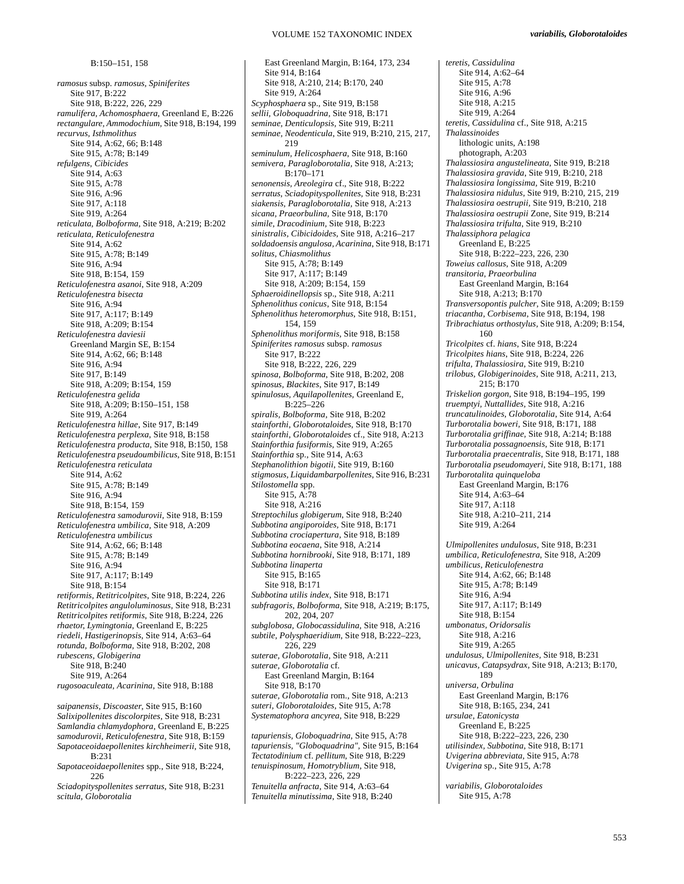B:150–151, 158

*ramosus* subsp. *ramosus, Spiniferites*  Site 917, B:222 Site 918, B:222, 226, 229 *ramulifera, Achomosphaera*, Greenland E, B:226 *rectangulare, Ammodochium,* Site 918, B:194, 199 *recurvus, Isthmolithus*  Site 914, A:62, 66; B:148 Site 915, A:78; B:149 *refulgens, Cibicides*  Site 914, A:63 Site 915, A:78 Site 916, A:96 Site 917, A:118 Site 919, A:264 *reticulata, Bolboforma*, Site 918, A:219; B:202 *reticulata, Reticulofenestra*  Site 914, A:62 Site 915, A:78; B:149 Site 916, A:94 Site 918, B:154, 159 *Reticulofenestra asanoi*, Site 918, A:209 *Reticulofenestra bisecta*  Site 916, A:94 Site 917, A:117; B:149 Site 918, A:209; B:154 *Reticulofenestra daviesii*  Greenland Margin SE, B:154 Site 914, A:62, 66; B:148 Site 916, A:94 Site 917, B:149 Site 918, A:209; B:154, 159 *Reticulofenestra gelida*  Site 918, A:209; B:150–151, 158 Site 919, A:264 *Reticulofenestra hillae*, Site 917, B:149 *Reticulofenestra perplexa*, Site 918, B:158 *Reticulofenestra producta*, Site 918, B:150, 158 *Reticulofenestra pseudoumbilicus*, Site 918, B:151 *Reticulofenestra reticulata*  Site 914, A:62 Site 915, A:78; B:149 Site 916, A:94 Site 918, B:154, 159 *Reticulofenestra samodurovii*, Site 918, B:159 *Reticulofenestra umbilica*, Site 918, A:209 *Reticulofenestra umbilicus*  Site 914, A:62, 66; B:148 Site 915, A:78; B:149 Site 916, A:94 Site 917, A:117; B:149 Site 918, B:154 *retiformis, Retitricolpites*, Site 918, B:224, 226 *Retitricolpites anguloluminosus*, Site 918, B:231 *Retitricolpites retiformis*, Site 918, B:224, 226 *rhaetor, Lymingtonia*, Greenland E, B:225 *riedeli, Hastigerinopsis,* Site 914, A:63–64 *rotunda, Bolboforma,* Site 918, B:202, 208 *rubescens, Globigerina*  Site 918, B:240 Site 919, A:264 *rugosoaculeata, Acarinina*, Site 918, B:188 *saipanensis, Discoaster*, Site 915, B:160 *Salixipollenites discolorpites*, Site 918, B:231 *Samlandia chlamydophora,* Greenland E, B:225 *samodurovii, Reticulofenestra*, Site 918, B:159 *Sapotaceoidaepollenites kirchheimerii*, Site 918, B:231 *Sapotaceoidaepollenites* spp., Site 918, B:224,

226

*Sciadopityspollenites serratus*, Site 918, B:231 *scitula, Globorotalia* 

East Greenland Margin, B:164, 173, 234 Site 914, B:164 Site 918, A:210, 214; B:170, 240 Site 919, A:264 *Scyphosphaera* sp., Site 919, B:158 *sellii, Globoquadrina*, Site 918, B:171 *seminae, Denticulopsis,* Site 919, B:211 *seminae, Neodenticula*, Site 919, B:210, 215, 217, 219 *seminulum, Helicosphaera*, Site 918, B:160 *semivera, Paragloborotalia,* Site 918, A:213; B:170–171 *senonensis, Areolegira* cf., Site 918, B:222 *serratus, Sciadopityspollenites,* Site 918, B:231 *siakensis, Paragloborotalia,* Site 918, A:213 *sicana, Praeorbulina,* Site 918, B:170 *simile, Dracodinium,* Site 918, B:223 *sinistralis, Cibicidoides,* Site 918, A:216–217 *soldadoensis angulosa, Acarinina*, Site 918, B:171 *solitus, Chiasmolithus*  Site 915, A:78; B:149 Site 917, A:117; B:149 Site 918, A:209; B:154, 159 *Sphaeroidinellopsis* sp., Site 918, A:211 *Sphenolithus conicus*, Site 918, B:154 *Sphenolithus heteromorphus,* Site 918, B:151, 154, 159 *Sphenolithus moriformis,* Site 918, B:158 *Spiniferites ramosus* subsp. *ramosus*  Site 917, B:222 Site 918, B:222, 226, 229 *spinosa, Bolboforma*, Site 918, B:202, 208 *spinosus, Blackites*, Site 917, B:149 *spinulosus, Aquilapollenites,* Greenland E,  $B:225-226$ *spiralis, Bolboforma*, Site 918, B:202 *stainforthi, Globorotaloides,* Site 918, B:170 *stainforthi, Globorotaloides* cf., Site 918, A:213 *Stainforthia fusiformis,* Site 919, A:265 *Stainforthia* sp., Site 914, A:63 *Stephanolithion bigotii*, Site 919, B:160 *stigmosus, Liquidambarpollenites,* Site 916, B:231 *Stilostomella* spp. Site 915, A:78 Site 918, A:216 *Streptochilus globigerum*, Site 918, B:240 *Subbotina angiporoides,* Site 918, B:171 *Subbotina crociapertura*, Site 918, B:189 *Subbotina eocaena*, Site 918, A:214 *Subbotina hornibrooki*, Site 918, B:171, 189 *Subbotina linaperta*  Site 915, B:165 Site 918, B:171 *Subbotina utilis index,* Site 918, B:171 *subfragoris, Bolboforma,* Site 918, A:219; B:175, 202, 204, 207 *subglobosa, Globocassidulina,* Site 918, A:216 *subtile, Polysphaeridium*, Site 918, B:222–223, 226, 229 *suterae, Globorotalia,* Site 918, A:211 *suterae, Globorotalia* cf. East Greenland Margin, B:164 Site 918, B:170 *suterae, Globorotalia* rom., Site 918, A:213 *suteri, Globorotaloides*, Site 915, A:78 *Systematophora ancyrea,* Site 918, B:229 *tapuriensis, Globoquadrina,* Site 915, A:78 *tapuriensis, "Globoquadrina",* Site 915, B:164 *Tectatodinium* cf. *pellitum*, Site 918, B:229 *tenuispinosum, Homotryblium*, Site 918,

B:222–223, 226, 229 *Tenuitella anfracta*, Site 914, A:63–64 *Tenuitella minutissima*, Site 918, B:240 *teretis, Cassidulina* Site 914, A:62–64 Site 915, A:78 Site 916, A:96 Site 918, A:215 Site 919, A:264 *teretis, Cassidulina* cf., Site 918, A:215 *Thalassinoides*  lithologic units, A:198 photograph, A:203 *Thalassiosira angustelineata,* Site 919, B:218 *Thalassiosira gravida*, Site 919, B:210, 218 *Thalassiosira longissima,* Site 919, B:210 *Thalassiosira nidulus*, Site 919, B:210, 215, 219 *Thalassiosira oestrupii*, Site 919, B:210, 218 *Thalassiosira oestrupii* Zone, Site 919, B:214 *Thalassiosira trifulta*, Site 919, B:210 *Thalassiphora pelagica*  Greenland E, B:225 Site 918, B:222–223, 226, 230 *Toweius callosus,* Site 918, A:209 *transitoria, Praeorbulina*  East Greenland Margin, B:164 Site 918, A:213; B:170 *Transversopontis pulcher*, Site 918, A:209; B:159 *triacantha, Corbisema*, Site 918, B:194, 198 *Tribrachiatus orthostylus,* Site 918, A:209; B:154, 160 *Tricolpites* cf. *hians*, Site 918, B:224 *Tricolpites hians*, Site 918, B:224, 226 *trifulta, Thalassiosira*, Site 919, B:210 *trilobus, Globigerinoides*, Site 918, A:211, 213, 215; B:170 *Triskelion gorgon*, Site 918, B:194–195, 199 *truemptyi, Nuttallides,* Site 918, A:216 *truncatulinoides, Globorotalia*, Site 914, A:64 *Turborotalia boweri,* Site 918, B:171, 188 *Turborotalia griffinae,* Site 918, A:214; B:188 *Turborotalia possagnoensis,* Site 918, B:171 *Turborotalia praecentralis*, Site 918, B:171, 188 *Turborotalia pseudomayeri*, Site 918, B:171, 188 *Turborotalita quinqueloba*  East Greenland Margin, B:176 Site 914, A:63–64 Site 917, A:118 Site 918, A:210–211, 214 Site 919, A:264 *Ulmipollenites undulosus,* Site 918, B:231 *umbilica, Reticulofenestra*, Site 918, A:209 *umbilicus, Reticulofenestra* Site 914, A:62, 66; B:148 Site 915, A:78; B:149 Site 916, A:94 Site 917, A:117; B:149 Site 918, B:154 *umbonatus, Oridorsalis*  Site 918, A:216 Site 919, A:265 *undulosus, Ulmipollenites,* Site 918, B:231 *unicavus, Catapsydrax,* Site 918, A:213; B:170, 189 *universa, Orbulina*  East Greenland Margin, B:176 Site 918, B:165, 234, 241 *ursulae, Eatonicysta*  Greenland E, B:225 Site 918, B:222-223, 226, 230 *utilisindex, Subbotina*, Site 918, B:171 *Uvigerina abbreviata,* Site 915, A:78 *Uvigerina* sp., Site 915, A:78 *variabilis, Globorotaloides* 

Site 915, A:78